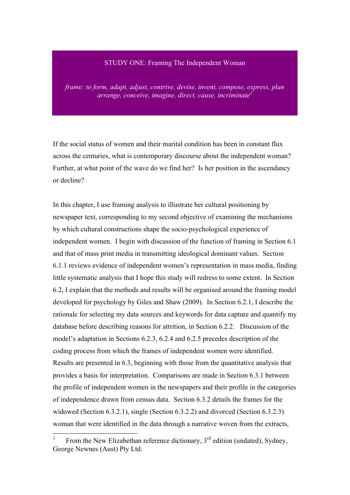#### STUDY ONE: Framing The Independent Woman

*frame: to form, adapt, adjust, contrive, devise, invent, compose, express, plan arrange, conceive, imagine, direct, cause, incriminate<sup>1</sup>*

If the social status of women and their marital condition has been in constant flux across the centuries, what is contemporary discourse about the independent woman? Further, at what point of the wave do we find her? Is her position in the ascendancy or decline?

In this chapter, I use framing analysis to illustrate her cultural positioning by newspaper text, corresponding to my second objective of examining the mechanisms by which cultural constructions shape the socio-psychological experience of independent women. I begin with discussion of the function of framing in Section 6.1 and that of mass print media in transmitting ideological dominant values. Section 6.1.1 reviews evidence of independent women's representation in mass media, finding little systematic analysis that I hope this study will redress to some extent. In Section 6.2, I explain that the methods and results will be organised around the framing model developed for psychology by Giles and Shaw (2009). In Section 6.2.1, I describe the rationale for selecting my data sources and keywords for data capture and quantify my database before describing reasons for attrition, in Section 6.2.2. Discussion of the model's adaptation in Sections 6.2.3, 6.2.4 and 6.2.5 precedes description of the coding process from which the frames of independent women were identified. Results are presented in 6.3, beginning with those from the quantitative analysis that provides a basis for interpretation. Comparisons are made in Section 6.3.1 between the profile of independent women in the newspapers and their profile in the categories of independence drawn from census data. Section 6.3.2 details the frames for the widowed (Section 6.3.2.1), single (Section 6.3.2.2) and divorced (Section 6.3.2.3) woman that were identified in the data through a narrative woven from the extracts,

 <sup>1</sup> From the New Elizabethan reference dictionary,  $3<sup>rd</sup>$  edition (undated), Sydney, George Newnes (Aust) Pty Ltd.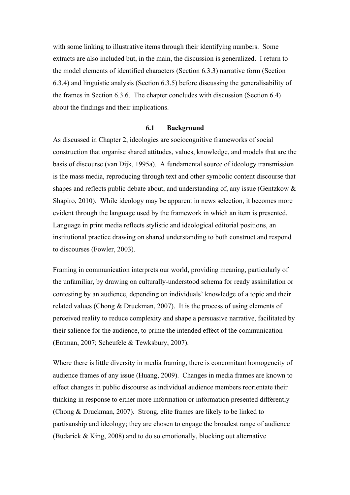with some linking to illustrative items through their identifying numbers. Some extracts are also included but, in the main, the discussion is generalized. I return to the model elements of identified characters (Section 6.3.3) narrative form (Section 6.3.4) and linguistic analysis (Section 6.3.5) before discussing the generalisability of the frames in Section 6.3.6. The chapter concludes with discussion (Section 6.4) about the findings and their implications.

#### **6.1 Background**

As discussed in Chapter 2, ideologies are sociocognitive frameworks of social construction that organise shared attitudes, values, knowledge, and models that are the basis of discourse (van Dijk, 1995a). A fundamental source of ideology transmission is the mass media, reproducing through text and other symbolic content discourse that shapes and reflects public debate about, and understanding of, any issue (Gentzkow & Shapiro, 2010). While ideology may be apparent in news selection, it becomes more evident through the language used by the framework in which an item is presented. Language in print media reflects stylistic and ideological editorial positions, an institutional practice drawing on shared understanding to both construct and respond to discourses (Fowler, 2003).

Framing in communication interprets our world, providing meaning, particularly of the unfamiliar, by drawing on culturally-understood schema for ready assimilation or contesting by an audience, depending on individuals' knowledge of a topic and their related values (Chong & Druckman, 2007). It is the process of using elements of perceived reality to reduce complexity and shape a persuasive narrative, facilitated by their salience for the audience, to prime the intended effect of the communication (Entman, 2007; Scheufele & Tewksbury, 2007).

Where there is little diversity in media framing, there is concomitant homogeneity of audience frames of any issue (Huang, 2009). Changes in media frames are known to effect changes in public discourse as individual audience members reorientate their thinking in response to either more information or information presented differently (Chong & Druckman, 2007). Strong, elite frames are likely to be linked to partisanship and ideology; they are chosen to engage the broadest range of audience (Budarick & King, 2008) and to do so emotionally, blocking out alternative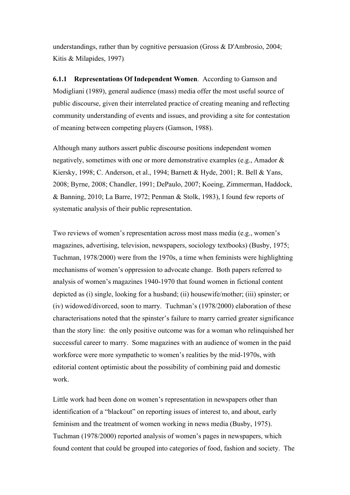understandings, rather than by cognitive persuasion (Gross & D'Ambrosio, 2004; Kitis & Milapides, 1997)*.* 

**6.1.1 Representations Of Independent Women**. According to Gamson and Modigliani (1989), general audience (mass) media offer the most useful source of public discourse, given their interrelated practice of creating meaning and reflecting community understanding of events and issues, and providing a site for contestation of meaning between competing players (Gamson, 1988).

Although many authors assert public discourse positions independent women negatively, sometimes with one or more demonstrative examples (e.g., Amador & Kiersky, 1998; C. Anderson, et al., 1994; Barnett & Hyde, 2001; R. Bell & Yans, 2008; Byrne, 2008; Chandler, 1991; DePaulo, 2007; Koeing, Zimmerman, Haddock, & Banning, 2010; La Barre, 1972; Penman & Stolk, 1983), I found few reports of systematic analysis of their public representation.

Two reviews of women's representation across most mass media (e.g., women's magazines, advertising, television, newspapers, sociology textbooks) (Busby, 1975; Tuchman, 1978/2000) were from the 1970s, a time when feminists were highlighting mechanisms of women's oppression to advocate change. Both papers referred to analysis of women's magazines 1940-1970 that found women in fictional content depicted as (i) single, looking for a husband; (ii) housewife/mother; (iii) spinster; or (iv) widowed/divorced, soon to marry. Tuchman's (1978/2000) elaboration of these characterisations noted that the spinster's failure to marry carried greater significance than the story line: the only positive outcome was for a woman who relinquished her successful career to marry. Some magazines with an audience of women in the paid workforce were more sympathetic to women's realities by the mid-1970s, with editorial content optimistic about the possibility of combining paid and domestic work.

Little work had been done on women's representation in newspapers other than identification of a "blackout" on reporting issues of interest to, and about, early feminism and the treatment of women working in news media (Busby, 1975). Tuchman (1978/2000) reported analysis of women's pages in newspapers, which found content that could be grouped into categories of food, fashion and society. The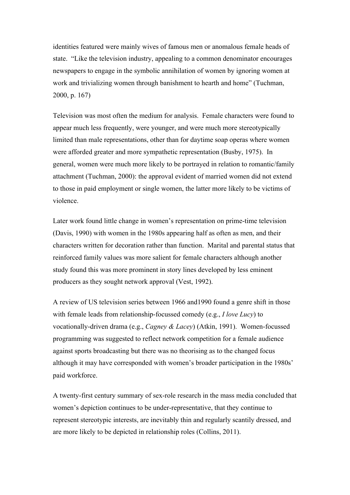identities featured were mainly wives of famous men or anomalous female heads of state. "Like the television industry, appealing to a common denominator encourages newspapers to engage in the symbolic annihilation of women by ignoring women at work and trivializing women through banishment to hearth and home" (Tuchman, 2000, p. 167)

Television was most often the medium for analysis. Female characters were found to appear much less frequently, were younger, and were much more stereotypically limited than male representations, other than for daytime soap operas where women were afforded greater and more sympathetic representation (Busby, 1975). In general, women were much more likely to be portrayed in relation to romantic/family attachment (Tuchman, 2000): the approval evident of married women did not extend to those in paid employment or single women, the latter more likely to be victims of violence.

Later work found little change in women's representation on prime-time television (Davis, 1990) with women in the 1980s appearing half as often as men, and their characters written for decoration rather than function. Marital and parental status that reinforced family values was more salient for female characters although another study found this was more prominent in story lines developed by less eminent producers as they sought network approval (Vest, 1992).

A review of US television series between 1966 and1990 found a genre shift in those with female leads from relationship-focussed comedy (e.g., *I love Lucy*) to vocationally-driven drama (e.g., *Cagney & Lacey*) (Atkin, 1991). Women-focussed programming was suggested to reflect network competition for a female audience against sports broadcasting but there was no theorising as to the changed focus although it may have corresponded with women's broader participation in the 1980s' paid workforce.

A twenty-first century summary of sex-role research in the mass media concluded that women's depiction continues to be under-representative, that they continue to represent stereotypic interests, are inevitably thin and regularly scantily dressed, and are more likely to be depicted in relationship roles (Collins, 2011).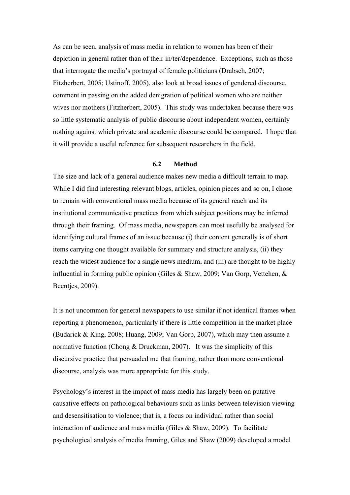As can be seen, analysis of mass media in relation to women has been of their depiction in general rather than of their in/ter/dependence. Exceptions, such as those that interrogate the media's portrayal of female politicians (Drabsch, 2007; Fitzherbert, 2005; Ustinoff, 2005), also look at broad issues of gendered discourse, comment in passing on the added denigration of political women who are neither wives nor mothers (Fitzherbert, 2005). This study was undertaken because there was so little systematic analysis of public discourse about independent women, certainly nothing against which private and academic discourse could be compared. I hope that it will provide a useful reference for subsequent researchers in the field.

## **6.2 Method**

The size and lack of a general audience makes new media a difficult terrain to map. While I did find interesting relevant blogs, articles, opinion pieces and so on, I chose to remain with conventional mass media because of its general reach and its institutional communicative practices from which subject positions may be inferred through their framing. Of mass media, newspapers can most usefully be analysed for identifying cultural frames of an issue because (i) their content generally is of short items carrying one thought available for summary and structure analysis, (ii) they reach the widest audience for a single news medium, and (iii) are thought to be highly influential in forming public opinion (Giles & Shaw, 2009; Van Gorp, Vettehen, & Beentjes, 2009).

It is not uncommon for general newspapers to use similar if not identical frames when reporting a phenomenon, particularly if there is little competition in the market place (Budarick & King, 2008; Huang, 2009; Van Gorp, 2007), which may then assume a normative function (Chong & Druckman, 2007). It was the simplicity of this discursive practice that persuaded me that framing, rather than more conventional discourse, analysis was more appropriate for this study.

Psychology's interest in the impact of mass media has largely been on putative causative effects on pathological behaviours such as links between television viewing and desensitisation to violence; that is, a focus on individual rather than social interaction of audience and mass media (Giles & Shaw, 2009). To facilitate psychological analysis of media framing, Giles and Shaw (2009) developed a model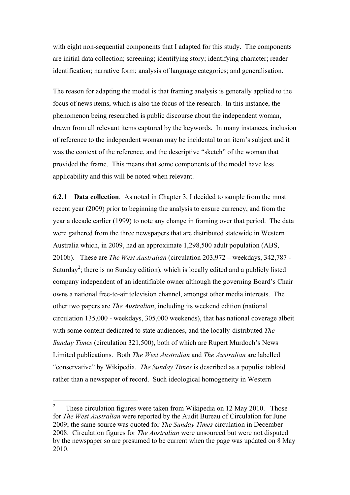with eight non-sequential components that I adapted for this study. The components are initial data collection; screening; identifying story; identifying character; reader identification; narrative form; analysis of language categories; and generalisation.

The reason for adapting the model is that framing analysis is generally applied to the focus of news items, which is also the focus of the research. In this instance, the phenomenon being researched is public discourse about the independent woman, drawn from all relevant items captured by the keywords. In many instances, inclusion of reference to the independent woman may be incidental to an item's subject and it was the context of the reference, and the descriptive "sketch" of the woman that provided the frame. This means that some components of the model have less applicability and this will be noted when relevant.

**6.2.1 Data collection**. As noted in Chapter 3, I decided to sample from the most recent year (2009) prior to beginning the analysis to ensure currency, and from the year a decade earlier (1999) to note any change in framing over that period. The data were gathered from the three newspapers that are distributed statewide in Western Australia which, in 2009, had an approximate 1,298,500 adult population (ABS, 2010b). These are *The West Australian* (circulation 203,972 – weekdays, 342,787 - Saturday<sup>2</sup>; there is no Sunday edition), which is locally edited and a publicly listed company independent of an identifiable owner although the governing Board's Chair owns a national free-to-air television channel, amongst other media interests. The other two papers are *The Australian*, including its weekend edition (national circulation 135,000 - weekdays, 305,000 weekends), that has national coverage albeit with some content dedicated to state audiences, and the locally-distributed *The Sunday Times* (circulation 321,500), both of which are Rupert Murdoch's News Limited publications. Both *The West Australian* and *The Australian* are labelled "conservative" by Wikipedia. *The Sunday Times* is described as a populist tabloid rather than a newspaper of record. Such ideological homogeneity in Western

 <sup>2</sup> These circulation figures were taken from Wikipedia on 12 May 2010. Those for *The West Australian* were reported by the Audit Bureau of Circulation for June 2009; the same source was quoted for *The Sunday Times* circulation in December 2008. Circulation figures for *The Australian* were unsourced but were not disputed by the newspaper so are presumed to be current when the page was updated on 8 May 2010.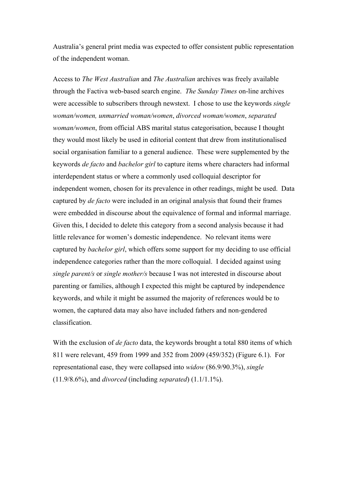Australia's general print media was expected to offer consistent public representation of the independent woman.

Access to *The West Australian* and *The Australian* archives was freely available through the Factiva web-based search engine. *The Sunday Times* on-line archives were accessible to subscribers through newstext. I chose to use the keywords *single woman/women, unmarried woman/women*, *divorced woman/women*, *separated woman/women*, from official ABS marital status categorisation, because I thought they would most likely be used in editorial content that drew from institutionalised social organisation familiar to a general audience. These were supplemented by the keywords *de facto* and *bachelor girl* to capture items where characters had informal interdependent status or where a commonly used colloquial descriptor for independent women, chosen for its prevalence in other readings, might be used. Data captured by *de facto* were included in an original analysis that found their frames were embedded in discourse about the equivalence of formal and informal marriage. Given this, I decided to delete this category from a second analysis because it had little relevance for women's domestic independence. No relevant items were captured by *bachelor girl*, which offers some support for my deciding to use official independence categories rather than the more colloquial. I decided against using *single parent/s* or *single mother/s* because I was not interested in discourse about parenting or families, although I expected this might be captured by independence keywords, and while it might be assumed the majority of references would be to women, the captured data may also have included fathers and non-gendered classification.

With the exclusion of *de facto* data, the keywords brought a total 880 items of which 811 were relevant, 459 from 1999 and 352 from 2009 (459/352) (Figure 6.1). For representational ease, they were collapsed into *widow* (86.9/90.3%), *single* (11.9/8.6%), and *divorced* (including *separated*) (1.1/1.1%).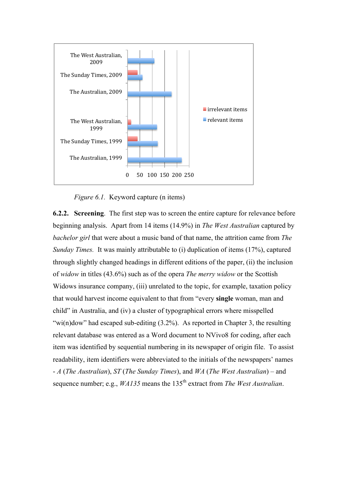

*Figure 6.1.* Keyword capture (n items)

**6.2.2. Screening**. The first step was to screen the entire capture for relevance before beginning analysis. Apart from 14 items (14.9%) in *The West Australian* captured by *bachelor girl* that were about a music band of that name, the attrition came from *The Sunday Times.* It was mainly attributable to (i) duplication of items (17%), captured through slightly changed headings in different editions of the paper, (ii) the inclusion of *widow* in titles (43.6%) such as of the opera *The merry widow* or the Scottish Widows insurance company, (iii) unrelated to the topic, for example, taxation policy that would harvest income equivalent to that from "every **single** woman, man and child" in Australia, and (iv) a cluster of typographical errors where misspelled "wi(n)dow" had escaped sub-editing  $(3.2\%)$ . As reported in Chapter 3, the resulting relevant database was entered as a Word document to NVivo8 for coding, after each item was identified by sequential numbering in its newspaper of origin file. To assist readability, item identifiers were abbreviated to the initials of the newspapers' names - *A* (*The Australian*), *ST* (*The Sunday Times*), and *WA* (*The West Australian*) – and sequence number; e.g., *WA135* means the 135<sup>th</sup> extract from *The West Australian*.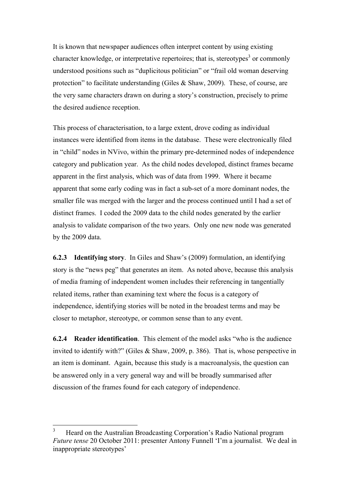It is known that newspaper audiences often interpret content by using existing character knowledge, or interpretative repertoires; that is, stereotypes<sup>3</sup> or commonly understood positions such as "duplicitous politician" or "frail old woman deserving protection" to facilitate understanding (Giles & Shaw, 2009). These, of course, are the very same characters drawn on during a story's construction, precisely to prime the desired audience reception.

This process of characterisation, to a large extent, drove coding as individual instances were identified from items in the database. These were electronically filed in "child" nodes in NVivo, within the primary pre-determined nodes of independence category and publication year. As the child nodes developed, distinct frames became apparent in the first analysis, which was of data from 1999. Where it became apparent that some early coding was in fact a sub-set of a more dominant nodes, the smaller file was merged with the larger and the process continued until I had a set of distinct frames. I coded the 2009 data to the child nodes generated by the earlier analysis to validate comparison of the two years. Only one new node was generated by the 2009 data.

**6.2.3 Identifying story**. In Giles and Shaw's (2009) formulation, an identifying story is the "news peg" that generates an item. As noted above, because this analysis of media framing of independent women includes their referencing in tangentially related items, rather than examining text where the focus is a category of independence, identifying stories will be noted in the broadest terms and may be closer to metaphor, stereotype, or common sense than to any event.

**6.2.4 Reader identification**. This element of the model asks "who is the audience invited to identify with?" (Giles & Shaw, 2009, p. 386). That is, whose perspective in an item is dominant. Again, because this study is a macroanalysis, the question can be answered only in a very general way and will be broadly summarised after discussion of the frames found for each category of independence.

 <sup>3</sup> Heard on the Australian Broadcasting Corporation's Radio National program *Future tense* 20 October 2011: presenter Antony Funnell 'I'm a journalist. We deal in inappropriate stereotypes'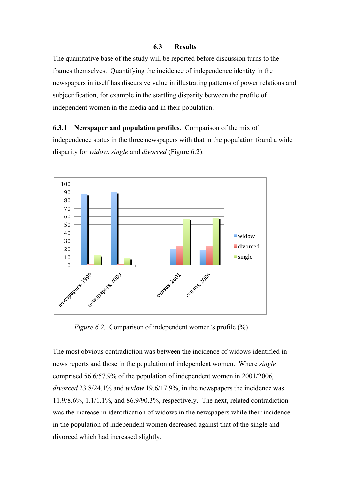## **6.3 Results**

The quantitative base of the study will be reported before discussion turns to the frames themselves. Quantifying the incidence of independence identity in the newspapers in itself has discursive value in illustrating patterns of power relations and subjectification, for example in the startling disparity between the profile of independent women in the media and in their population.

# **6.3.1 Newspaper and population profiles**. Comparison of the mix of

independence status in the three newspapers with that in the population found a wide disparity for *widow*, *single* and *divorced* (Figure 6.2).



*Figure 6.2.* Comparison of independent women's profile (%)

The most obvious contradiction was between the incidence of widows identified in news reports and those in the population of independent women. Where *single* comprised 56.6/57.9% of the population of independent women in 2001/2006, *divorced* 23.8/24.1% and *widow* 19.6/17.9%, in the newspapers the incidence was 11.9/8.6%, 1.1/1.1%, and 86.9/90.3%, respectively. The next, related contradiction was the increase in identification of widows in the newspapers while their incidence in the population of independent women decreased against that of the single and divorced which had increased slightly.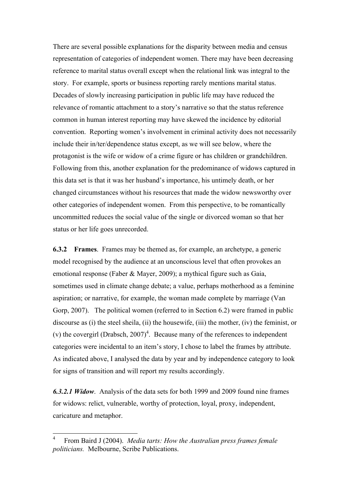There are several possible explanations for the disparity between media and census representation of categories of independent women. There may have been decreasing reference to marital status overall except when the relational link was integral to the story. For example, sports or business reporting rarely mentions marital status. Decades of slowly increasing participation in public life may have reduced the relevance of romantic attachment to a story's narrative so that the status reference common in human interest reporting may have skewed the incidence by editorial convention. Reporting women's involvement in criminal activity does not necessarily include their in/ter/dependence status except, as we will see below, where the protagonist is the wife or widow of a crime figure or has children or grandchildren. Following from this, another explanation for the predominance of widows captured in this data set is that it was her husband's importance, his untimely death, or her changed circumstances without his resources that made the widow newsworthy over other categories of independent women. From this perspective, to be romantically uncommitted reduces the social value of the single or divorced woman so that her status or her life goes unrecorded.

**6.3.2 Frames**. Frames may be themed as, for example, an archetype, a generic model recognised by the audience at an unconscious level that often provokes an emotional response (Faber & Mayer, 2009); a mythical figure such as Gaia, sometimes used in climate change debate; a value, perhaps motherhood as a feminine aspiration; or narrative, for example, the woman made complete by marriage (Van Gorp, 2007). The political women (referred to in Section 6.2) were framed in public discourse as (i) the steel sheila, (ii) the housewife, (iii) the mother, (iv) the feminist, or (v) the covergirl (Drabsch,  $2007$ <sup>4</sup>. Because many of the references to independent categories were incidental to an item's story, I chose to label the frames by attribute. As indicated above, I analysed the data by year and by independence category to look for signs of transition and will report my results accordingly.

*6.3.2.1 Widow*. Analysis of the data sets for both 1999 and 2009 found nine frames for widows: relict, vulnerable, worthy of protection, loyal, proxy, independent, caricature and metaphor.

 $\frac{1}{4}$  From Baird J (2004). *Media tarts: How the Australian press frames female politicians.* Melbourne, Scribe Publications.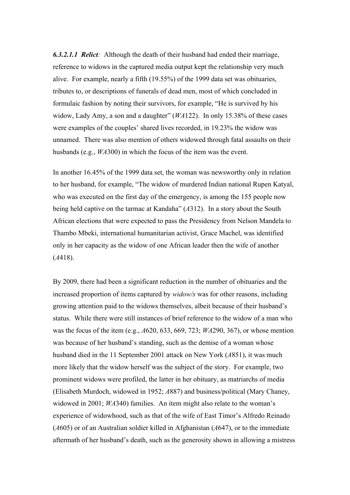*6.3.2.1.1 Relict:* Although the death of their husband had ended their marriage, reference to widows in the captured media output kept the relationship very much alive. For example, nearly a fifth (19.55%) of the 1999 data set was obituaries, tributes to, or descriptions of funerals of dead men, most of which concluded in formulaic fashion by noting their survivors, for example, "He is survived by his widow, Lady Amy, a son and a daughter" (*WA*122). In only 15.38% of these cases were examples of the couples' shared lives recorded, in 19.23% the widow was unnamed. There was also mention of others widowed through fatal assaults on their husbands (e.g., *WA*300) in which the focus of the item was the event.

In another 16.45% of the 1999 data set, the woman was newsworthy only in relation to her husband, for example, "The widow of murdered Indian national Rupen Katyal, who was executed on the first day of the emergency, is among the 155 people now being held captive on the tarmac at Kandaha" (*A*312). In a story about the South African elections that were expected to pass the Presidency from Nelson Mandela to Thambo Mbeki, international humanitarian activist, Grace Machel, was identified only in her capacity as the widow of one African leader then the wife of another (*A*418).

By 2009, there had been a significant reduction in the number of obituaries and the increased proportion of items captured by *widow/s* was for other reasons, including growing attention paid to the widows themselves, albeit because of their husband's status. While there were still instances of brief reference to the widow of a man who was the focus of the item (e.g., *A*620, 633, 669, 723; *WA*290, 367), or whose mention was because of her husband's standing, such as the demise of a woman whose husband died in the 11 September 2001 attack on New York (*A*851), it was much more likely that the widow herself was the subject of the story. For example, two prominent widows were profiled, the latter in her obituary, as matriarchs of media (Elisabeth Murdoch, widowed in 1952; *A*887) and business/political (Mary Chaney, widowed in 2001; *WA*340) families. An item might also relate to the woman's experience of widowhood, such as that of the wife of East Timor's Alfredo Reinado (*A*605) or of an Australian soldier killed in Afghanistan (*A*647), or to the immediate aftermath of her husband's death, such as the generosity shown in allowing a mistress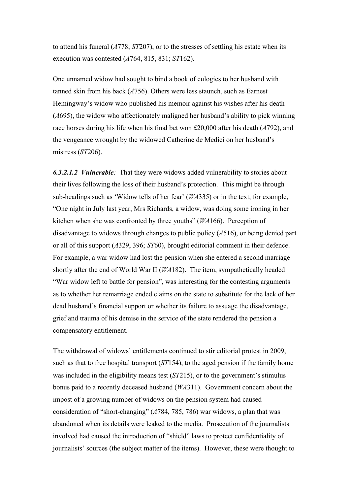to attend his funeral (*A*778; *ST*207), or to the stresses of settling his estate when its execution was contested (*A*764, 815, 831; *ST*162).

One unnamed widow had sought to bind a book of eulogies to her husband with tanned skin from his back (*A*756). Others were less staunch, such as Earnest Hemingway's widow who published his memoir against his wishes after his death (*A*695), the widow who affectionately maligned her husband's ability to pick winning race horses during his life when his final bet won £20,000 after his death (*A*792), and the vengeance wrought by the widowed Catherine de Medici on her husband's mistress (*ST*206).

*6.3.2.1.2 Vulnerable:* That they were widows added vulnerability to stories about their lives following the loss of their husband's protection. This might be through sub-headings such as 'Widow tells of her fear' (*WA*335) or in the text, for example, "One night in July last year, Mrs Richards, a widow, was doing some ironing in her kitchen when she was confronted by three youths" (*WA*166). Perception of disadvantage to widows through changes to public policy (*A*516), or being denied part or all of this support (*A*329, 396; *ST*60), brought editorial comment in their defence. For example, a war widow had lost the pension when she entered a second marriage shortly after the end of World War II (*WA*182). The item, sympathetically headed "War widow left to battle for pension", was interesting for the contesting arguments as to whether her remarriage ended claims on the state to substitute for the lack of her dead husband's financial support or whether its failure to assuage the disadvantage, grief and trauma of his demise in the service of the state rendered the pension a compensatory entitlement.

The withdrawal of widows' entitlements continued to stir editorial protest in 2009, such as that to free hospital transport (*ST*154), to the aged pension if the family home was included in the eligibility means test (*ST*215), or to the government's stimulus bonus paid to a recently deceased husband (*WA*311). Government concern about the impost of a growing number of widows on the pension system had caused consideration of "short-changing" (*A*784, 785, 786) war widows, a plan that was abandoned when its details were leaked to the media. Prosecution of the journalists involved had caused the introduction of "shield" laws to protect confidentiality of journalists' sources (the subject matter of the items). However, these were thought to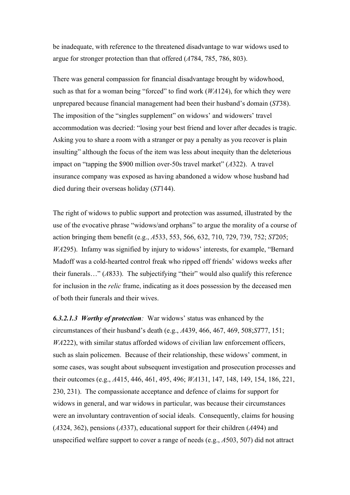be inadequate, with reference to the threatened disadvantage to war widows used to argue for stronger protection than that offered (*A*784, 785, 786, 803).

There was general compassion for financial disadvantage brought by widowhood, such as that for a woman being "forced" to find work (*WA*124), for which they were unprepared because financial management had been their husband's domain (*ST*38). The imposition of the "singles supplement" on widows' and widowers' travel accommodation was decried: "losing your best friend and lover after decades is tragic. Asking you to share a room with a stranger or pay a penalty as you recover is plain insulting" although the focus of the item was less about inequity than the deleterious impact on "tapping the \$900 million over-50s travel market" (*A*322). A travel insurance company was exposed as having abandoned a widow whose husband had died during their overseas holiday (*ST*144).

The right of widows to public support and protection was assumed, illustrated by the use of the evocative phrase "widows/and orphans" to argue the morality of a course of action bringing them benefit (e.g., *A*533, 553, 566, 632, 710, 729, 739, 752; *ST*205; *WA*295). Infamy was signified by injury to widows' interests, for example, "Bernard Madoff was a cold-hearted control freak who ripped off friends' widows weeks after their funerals…" (*A*833). The subjectifying "their" would also qualify this reference for inclusion in the *relic* frame, indicating as it does possession by the deceased men of both their funerals and their wives.

*6.3.2.1.3 Worthy of protection:* War widows' status was enhanced by the circumstances of their husband's death (e.g., *A*439, 466, 467, 469, 508;*ST*77, 151; *WA*222), with similar status afforded widows of civilian law enforcement officers, such as slain policemen. Because of their relationship, these widows' comment, in some cases, was sought about subsequent investigation and prosecution processes and their outcomes (e.g., *A*415, 446, 461, 495, 496; *WA*131, 147, 148, 149, 154, 186, 221, 230, 231). The compassionate acceptance and defence of claims for support for widows in general, and war widows in particular, was because their circumstances were an involuntary contravention of social ideals. Consequently, claims for housing (*A*324, 362), pensions (*A*337), educational support for their children (*A*494) and unspecified welfare support to cover a range of needs (e.g., *A*503, 507) did not attract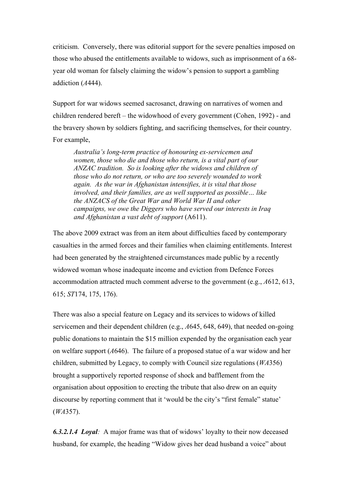criticism. Conversely, there was editorial support for the severe penalties imposed on those who abused the entitlements available to widows, such as imprisonment of a 68 year old woman for falsely claiming the widow's pension to support a gambling addiction (*A*444).

Support for war widows seemed sacrosanct, drawing on narratives of women and children rendered bereft – the widowhood of every government (Cohen, 1992) - and the bravery shown by soldiers fighting, and sacrificing themselves, for their country. For example,

*Australia's long-term practice of honouring ex-servicemen and women, those who die and those who return, is a vital part of our ANZAC tradition. So is looking after the widows and children of those who do not return, or who are too severely wounded to work again. As the war in Afghanistan intensifies, it is vital that those involved, and their families, are as well supported as possible… like the ANZACS of the Great War and World War II and other campaigns, we owe the Diggers who have served our interests in Iraq and Afghanistan a vast debt of support* (A611).

The above 2009 extract was from an item about difficulties faced by contemporary casualties in the armed forces and their families when claiming entitlements. Interest had been generated by the straightened circumstances made public by a recently widowed woman whose inadequate income and eviction from Defence Forces accommodation attracted much comment adverse to the government (e.g., *A*612, 613, 615; *ST*174, 175, 176).

There was also a special feature on Legacy and its services to widows of killed servicemen and their dependent children (e.g., *A*645, 648, 649), that needed on-going public donations to maintain the \$15 million expended by the organisation each year on welfare support (*A*646). The failure of a proposed statue of a war widow and her children, submitted by Legacy, to comply with Council size regulations (*WA*356) brought a supportively reported response of shock and bafflement from the organisation about opposition to erecting the tribute that also drew on an equity discourse by reporting comment that it 'would be the city's "first female" statue' (*WA*357).

*6.3.2.1.4 Loyal:* A major frame was that of widows' loyalty to their now deceased husband, for example, the heading "Widow gives her dead husband a voice" about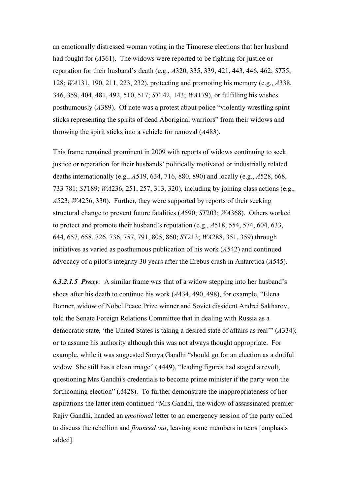an emotionally distressed woman voting in the Timorese elections that her husband had fought for (*A*361). The widows were reported to be fighting for justice or reparation for their husband's death (e.g., *A*320, 335, 339, 421, 443, 446, 462; *ST*55, 128; *WA*131, 190, 211, 223, 232), protecting and promoting his memory (e.g., *A*338, 346, 359, 404, 481, 492, 510, 517; *ST*142, 143; *WA*179), or fulfilling his wishes posthumously (*A*389). Of note was a protest about police "violently wrestling spirit sticks representing the spirits of dead Aboriginal warriors" from their widows and throwing the spirit sticks into a vehicle for removal (*A*483).

This frame remained prominent in 2009 with reports of widows continuing to seek justice or reparation for their husbands' politically motivated or industrially related deaths internationally (e.g., *A*519, 634, 716, 880, 890) and locally (e.g., *A*528, 668, 733 781; *ST*189; *WA*236, 251, 257, 313, 320), including by joining class actions (e.g., *A*523; *WA*256, 330). Further, they were supported by reports of their seeking structural change to prevent future fatalities (*A*590; *ST*203; *WA*368). Others worked to protect and promote their husband's reputation (e.g., *A*518, 554, 574, 604, 633, 644, 657, 658, 726, 736, 757, 791, 805, 860; *ST*213; *WA*288, 351, 359) through initiatives as varied as posthumous publication of his work (*A*542) and continued advocacy of a pilot's integrity 30 years after the Erebus crash in Antarctica (*A*545).

*6.3.2.1.5 Proxy:* A similar frame was that of a widow stepping into her husband's shoes after his death to continue his work (*A*434, 490, 498), for example, "Elena Bonner, widow of Nobel Peace Prize winner and Soviet dissident Andrei Sakharov, told the Senate Foreign Relations Committee that in dealing with Russia as a democratic state, 'the United States is taking a desired state of affairs as real'" (*A*334); or to assume his authority although this was not always thought appropriate. For example, while it was suggested Sonya Gandhi "should go for an election as a dutiful widow. She still has a clean image" ( $A449$ ), "leading figures had staged a revolt, questioning Mrs Gandhi's credentials to become prime minister if the party won the forthcoming election" (*A*428). To further demonstrate the inappropriateness of her aspirations the latter item continued "Mrs Gandhi, the widow of assassinated premier Rajiv Gandhi, handed an *emotional* letter to an emergency session of the party called to discuss the rebellion and *flounced out*, leaving some members in tears [emphasis added].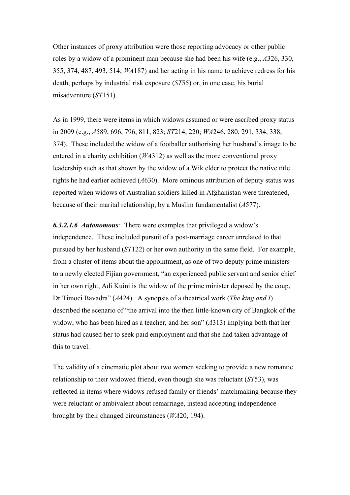Other instances of proxy attribution were those reporting advocacy or other public roles by a widow of a prominent man because she had been his wife (e.g., *A*326, 330, 355, 374, 487, 493, 514; *WA*187) and her acting in his name to achieve redress for his death, perhaps by industrial risk exposure (*ST*55) or, in one case, his burial misadventure (*ST*151).

As in 1999, there were items in which widows assumed or were ascribed proxy status in 2009 (e.g., *A*589, 696, 796, 811, 823; *ST*214, 220; *WA*246, 280, 291, 334, 338, 374). These included the widow of a footballer authorising her husband's image to be entered in a charity exhibition (*WA*312) as well as the more conventional proxy leadership such as that shown by the widow of a Wik elder to protect the native title rights he had earlier achieved (*A*630). More ominous attribution of deputy status was reported when widows of Australian soldiers killed in Afghanistan were threatened, because of their marital relationship, by a Muslim fundamentalist (*A*577).

*6.3.2.1.6 Autonomous:* There were examples that privileged a widow's independence. These included pursuit of a post-marriage career unrelated to that pursued by her husband (*ST*122) or her own authority in the same field. For example, from a cluster of items about the appointment, as one of two deputy prime ministers to a newly elected Fijian government, "an experienced public servant and senior chief in her own right, Adi Kuini is the widow of the prime minister deposed by the coup, Dr Timoci Bavadra" (*A*424). A synopsis of a theatrical work (*The king and I*) described the scenario of "the arrival into the then little-known city of Bangkok of the widow, who has been hired as a teacher, and her son" (*A*313) implying both that her status had caused her to seek paid employment and that she had taken advantage of this to travel.

The validity of a cinematic plot about two women seeking to provide a new romantic relationship to their widowed friend, even though she was reluctant (*ST*53), was reflected in items where widows refused family or friends' matchmaking because they were reluctant or ambivalent about remarriage, instead accepting independence brought by their changed circumstances (*WA*20, 194).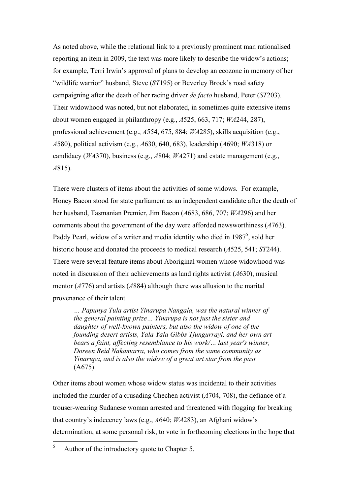As noted above, while the relational link to a previously prominent man rationalised reporting an item in 2009, the text was more likely to describe the widow's actions; for example, Terri Irwin's approval of plans to develop an ecozone in memory of her "wildlife warrior" husband, Steve (*ST*195) or Beverley Brock's road safety campaigning after the death of her racing driver *de facto* husband, Peter (*ST*203). Their widowhood was noted, but not elaborated, in sometimes quite extensive items about women engaged in philanthropy (e.g., *A*525, 663, 717; *WA*244, 287), professional achievement (e.g., *A*554, 675, 884; *WA*285), skills acquisition (e.g., *A*580), political activism (e.g., *A*630, 640, 683), leadership (*A*690; *WA*318) or candidacy (*WA*370), business (e.g., *A*804; *WA*271) and estate management (e.g., *A*815).

There were clusters of items about the activities of some widows. For example, Honey Bacon stood for state parliament as an independent candidate after the death of her husband, Tasmanian Premier, Jim Bacon (*A*683, 686, 707; *WA*296) and her comments about the government of the day were afforded newsworthiness (*A*763). Paddy Pearl, widow of a writer and media identity who died in  $1987^5$ , sold her historic house and donated the proceeds to medical research (*A*525, 541; *ST*244). There were several feature items about Aboriginal women whose widowhood was noted in discussion of their achievements as land rights activist (*A*630), musical mentor (*A*776) and artists (*A*884) although there was allusion to the marital provenance of their talent

*… Papunya Tula artist Yinarupa Nangala, was the natural winner of the general painting prize… Yinarupa is not just the sister and daughter of well-known painters, but also the widow of one of the founding desert artists, Yala Yala Gibbs Tjungurrayi, and her own art bears a faint, affecting resemblance to his work/… last year's winner, Doreen Reid Nakamarra, who comes from the same community as Yinarupa, and is also the widow of a great art star from the past* (A675).

Other items about women whose widow status was incidental to their activities included the murder of a crusading Chechen activist (*A*704, 708), the defiance of a trouser-wearing Sudanese woman arrested and threatened with flogging for breaking that country's indecency laws (e.g., *A*640; *WA*283), an Afghani widow's determination, at some personal risk, to vote in forthcoming elections in the hope that

 <sup>5</sup> Author of the introductory quote to Chapter 5.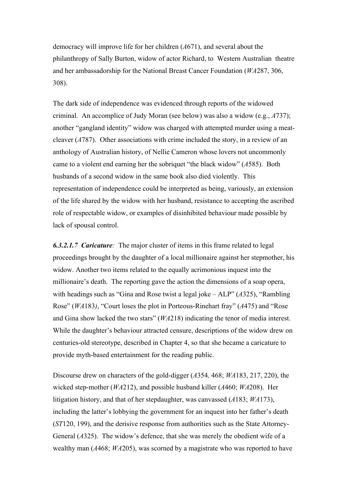democracy will improve life for her children (*A*671), and several about the philanthropy of Sally Burton, widow of actor Richard, to Western Australian theatre and her ambassadorship for the National Breast Cancer Foundation (*WA*287, 306, 308).

The dark side of independence was evidenced through reports of the widowed criminal. An accomplice of Judy Moran (see below) was also a widow (e.g., *A*737); another "gangland identity" widow was charged with attempted murder using a meatcleaver (*A*787). Other associations with crime included the story, in a review of an anthology of Australian history, of Nellie Cameron whose lovers not uncommonly came to a violent end earning her the sobriquet "the black widow" (*A*585). Both husbands of a second widow in the same book also died violently. This representation of independence could be interpreted as being, variously, an extension of the life shared by the widow with her husband, resistance to accepting the ascribed role of respectable widow, or examples of disinhibited behaviour made possible by lack of spousal control.

*6.3.2.1.7 Caricature:* The major cluster of items in this frame related to legal proceedings brought by the daughter of a local millionaire against her stepmother, his widow. Another two items related to the equally acrimonious inquest into the millionaire's death. The reporting gave the action the dimensions of a soap opera, with headings such as "Gina and Rose twist a legal joke – ALP" (*A*325), "Rambling Rose" (*WA*183*)*, "Court loses the plot in Porteous-Rinehart fray" (*A*475) and "Rose and Gina show lacked the two stars" (*WA*218) indicating the tenor of media interest. While the daughter's behaviour attracted censure, descriptions of the widow drew on centuries-old stereotype, described in Chapter 4, so that she became a caricature to provide myth-based entertainment for the reading public.

Discourse drew on characters of the gold-digger (*A*354*,* 468; *WA*183, 217, 220), the wicked step-mother (*WA*212), and possible husband killer (*A*460; *WA*208). Her litigation history, and that of her stepdaughter, was canvassed (*A*183; *WA*173), including the latter's lobbying the government for an inquest into her father's death (*ST*120, 199), and the derisive response from authorities such as the State Attorney-General (*A*325). The widow's defence, that she was merely the obedient wife of a wealthy man (*A*468; *WA*205), was scorned by a magistrate who was reported to have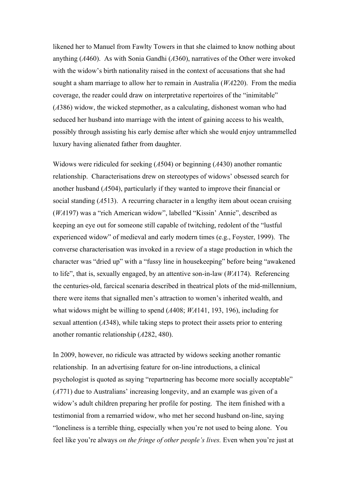likened her to Manuel from Fawlty Towers in that she claimed to know nothing about anything (*A*460). As with Sonia Gandhi (*A*360), narratives of the Other were invoked with the widow's birth nationality raised in the context of accusations that she had sought a sham marriage to allow her to remain in Australia (*WA*220). From the media coverage, the reader could draw on interpretative repertoires of the "inimitable" (*A*386) widow, the wicked stepmother, as a calculating, dishonest woman who had seduced her husband into marriage with the intent of gaining access to his wealth, possibly through assisting his early demise after which she would enjoy untrammelled luxury having alienated father from daughter.

Widows were ridiculed for seeking (*A*504) or beginning (*A*430) another romantic relationship. Characterisations drew on stereotypes of widows' obsessed search for another husband (*A*504), particularly if they wanted to improve their financial or social standing (*A*513). A recurring character in a lengthy item about ocean cruising (*WA*197) was a "rich American widow", labelled "Kissin' Annie", described as keeping an eye out for someone still capable of twitching, redolent of the "lustful experienced widow" of medieval and early modern times (e.g., Foyster, 1999). The converse characterisation was invoked in a review of a stage production in which the character was "dried up" with a "fussy line in housekeeping" before being "awakened to life", that is, sexually engaged, by an attentive son-in-law (*WA*174). Referencing the centuries-old, farcical scenaria described in theatrical plots of the mid-millennium, there were items that signalled men's attraction to women's inherited wealth, and what widows might be willing to spend (*A*408; *WA*141, 193, 196), including for sexual attention (*A*348), while taking steps to protect their assets prior to entering another romantic relationship (*A*282, 480).

In 2009, however, no ridicule was attracted by widows seeking another romantic relationship. In an advertising feature for on-line introductions, a clinical psychologist is quoted as saying "repartnering has become more socially acceptable" (*A*771) due to Australians' increasing longevity, and an example was given of a widow's adult children preparing her profile for posting. The item finished with a testimonial from a remarried widow, who met her second husband on-line, saying "loneliness is a terrible thing, especially when you're not used to being alone. You feel like you're always *on the fringe of other people's lives.* Even when you're just at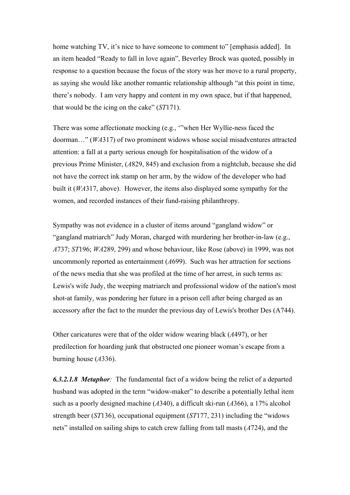home watching TV, it's nice to have someone to comment to" [emphasis added]. In an item headed "Ready to fall in love again", Beverley Brock was quoted, possibly in response to a question because the focus of the story was her move to a rural property, as saying she would like another romantic relationship although "at this point in time, there's nobody. I am very happy and content in my own space, but if that happened, that would be the icing on the cake" (*ST*171).

There was some affectionate mocking (e.g., '"when Her Wyllie-ness faced the doorman…" (*WA*317) of two prominent widows whose social misadventures attracted attention: a fall at a party serious enough for hospitalisation of the widow of a previous Prime Minister, (*A*829, 845) and exclusion from a nightclub, because she did not have the correct ink stamp on her arm, by the widow of the developer who had built it (*WA*317, above). However, the items also displayed some sympathy for the women, and recorded instances of their fund-raising philanthropy.

Sympathy was not evidence in a cluster of items around "gangland widow" or "gangland matriarch" Judy Moran, charged with murdering her brother-in-law (e.g., *A*737; *ST*196; *WA*289, 299) and whose behaviour, like Rose (above) in 1999, was not uncommonly reported as entertainment (*A*699). Such was her attraction for sections of the news media that she was profiled at the time of her arrest, in such terms as: Lewis's wife Judy, the weeping matriarch and professional widow of the nation's most shot-at family, was pondering her future in a prison cell after being charged as an accessory after the fact to the murder the previous day of Lewis's brother Des (A744).

Other caricatures were that of the older widow wearing black (*A*497), or her predilection for hoarding junk that obstructed one pioneer woman's escape from a burning house (*A*336).

*6.3.2.1.8 Metaphor:* The fundamental fact of a widow being the relict of a departed husband was adopted in the term "widow-maker" to describe a potentially lethal item such as a poorly designed machine (*A*340), a difficult ski-run (*A*366), a 17% alcohol strength beer (*ST*136), occupational equipment (*ST*177, 231) including the "widows nets" installed on sailing ships to catch crew falling from tall masts (*A*724), and the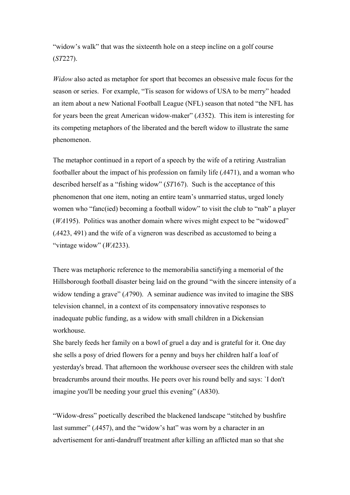"widow's walk" that was the sixteenth hole on a steep incline on a golf course (*ST*227).

*Widow* also acted as metaphor for sport that becomes an obsessive male focus for the season or series. For example, "Tis season for widows of USA to be merry" headed an item about a new National Football League (NFL) season that noted "the NFL has for years been the great American widow-maker" (*A*352). This item is interesting for its competing metaphors of the liberated and the bereft widow to illustrate the same phenomenon.

The metaphor continued in a report of a speech by the wife of a retiring Australian footballer about the impact of his profession on family life (*A*471), and a woman who described herself as a "fishing widow" (*ST*167). Such is the acceptance of this phenomenon that one item, noting an entire team's unmarried status, urged lonely women who "fanc(ied) becoming a football widow" to visit the club to "nab" a player (*WA*195). Politics was another domain where wives might expect to be "widowed" (*A*423, 491) and the wife of a vigneron was described as accustomed to being a "vintage widow" (*WA*233).

There was metaphoric reference to the memorabilia sanctifying a memorial of the Hillsborough football disaster being laid on the ground "with the sincere intensity of a widow tending a grave" (A790). A seminar audience was invited to imagine the SBS television channel, in a context of its compensatory innovative responses to inadequate public funding, as a widow with small children in a Dickensian workhouse.

She barely feeds her family on a bowl of gruel a day and is grateful for it. One day she sells a posy of dried flowers for a penny and buys her children half a loaf of yesterday's bread. That afternoon the workhouse overseer sees the children with stale breadcrumbs around their mouths. He peers over his round belly and says: `I don't imagine you'll be needing your gruel this evening" (A830).

"Widow-dress" poetically described the blackened landscape "stitched by bushfire last summer" ( $A457$ ), and the "widow's hat" was worn by a character in an advertisement for anti-dandruff treatment after killing an afflicted man so that she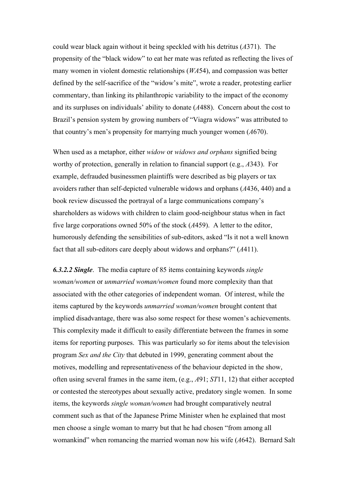could wear black again without it being speckled with his detritus (*A*371). The propensity of the "black widow" to eat her mate was refuted as reflecting the lives of many women in violent domestic relationships (*WA*54), and compassion was better defined by the self-sacrifice of the "widow's mite", wrote a reader, protesting earlier commentary, than linking its philanthropic variability to the impact of the economy and its surpluses on individuals' ability to donate (*A*488). Concern about the cost to Brazil's pension system by growing numbers of "Viagra widows" was attributed to that country's men's propensity for marrying much younger women (*A*670).

When used as a metaphor, either *widow* or *widows and orphans* signified being worthy of protection, generally in relation to financial support (e.g., *A*343). For example, defrauded businessmen plaintiffs were described as big players or tax avoiders rather than self-depicted vulnerable widows and orphans (*A*436, 440) and a book review discussed the portrayal of a large communications company's shareholders as widows with children to claim good-neighbour status when in fact five large corporations owned 50% of the stock (*A*459). A letter to the editor, humorously defending the sensibilities of sub-editors, asked "Is it not a well known fact that all sub-editors care deeply about widows and orphans?" (*A*411).

*6.3.2.2 Single*. The media capture of 85 items containing keywords *single woman/women* or *unmarried woman/women* found more complexity than that associated with the other categories of independent woman. Of interest, while the items captured by the keywords *unmarried woman/women* brought content that implied disadvantage, there was also some respect for these women's achievements. This complexity made it difficult to easily differentiate between the frames in some items for reporting purposes. This was particularly so for items about the television program *Sex and the City* that debuted in 1999, generating comment about the motives, modelling and representativeness of the behaviour depicted in the show, often using several frames in the same item, (e.g., *A*91; *ST*11, 12) that either accepted or contested the stereotypes about sexually active, predatory single women. In some items, the keywords *single woman/women* had brought comparatively neutral comment such as that of the Japanese Prime Minister when he explained that most men choose a single woman to marry but that he had chosen "from among all womankind" when romancing the married woman now his wife (*A*642). Bernard Salt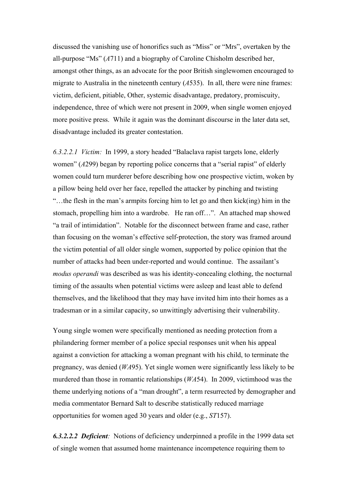discussed the vanishing use of honorifics such as "Miss" or "Mrs", overtaken by the all-purpose "Ms" (*A*711) and a biography of Caroline Chisholm described her, amongst other things, as an advocate for the poor British singlewomen encouraged to migrate to Australia in the nineteenth century (*A*535). In all, there were nine frames: victim, deficient, pitiable, Other, systemic disadvantage, predatory, promiscuity, independence, three of which were not present in 2009, when single women enjoyed more positive press. While it again was the dominant discourse in the later data set, disadvantage included its greater contestation.

*6.3.2.2.1 Victim:* In 1999, a story headed "Balaclava rapist targets lone, elderly women" (*A*299) began by reporting police concerns that a "serial rapist" of elderly women could turn murderer before describing how one prospective victim, woken by a pillow being held over her face, repelled the attacker by pinching and twisting "…the flesh in the man's armpits forcing him to let go and then kick(ing) him in the stomach, propelling him into a wardrobe. He ran off…". An attached map showed "a trail of intimidation". Notable for the disconnect between frame and case, rather than focusing on the woman's effective self-protection, the story was framed around the victim potential of all older single women, supported by police opinion that the number of attacks had been under-reported and would continue. The assailant's *modus operandi* was described as was his identity-concealing clothing, the nocturnal timing of the assaults when potential victims were asleep and least able to defend themselves, and the likelihood that they may have invited him into their homes as a tradesman or in a similar capacity, so unwittingly advertising their vulnerability.

Young single women were specifically mentioned as needing protection from a philandering former member of a police special responses unit when his appeal against a conviction for attacking a woman pregnant with his child, to terminate the pregnancy, was denied (*WA*95). Yet single women were significantly less likely to be murdered than those in romantic relationships (*WA*54). In 2009, victimhood was the theme underlying notions of a "man drought", a term resurrected by demographer and media commentator Bernard Salt to describe statistically reduced marriage opportunities for women aged 30 years and older (e.g., *ST*157).

*6.3.2.2.2 Deficient:* Notions of deficiency underpinned a profile in the 1999 data set of single women that assumed home maintenance incompetence requiring them to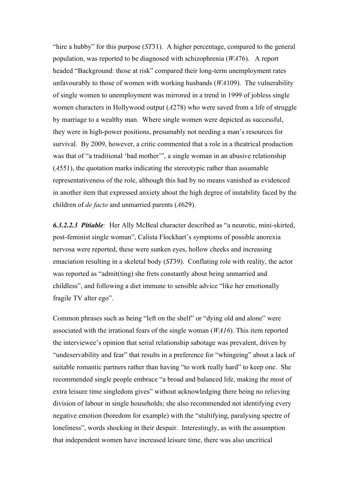"hire a hubby" for this purpose (*ST*31). A higher percentage, compared to the general population, was reported to be diagnosed with schizophrenia (*WA*76). A report headed "Background: those at risk" compared their long-term unemployment rates unfavourably to those of women with working husbands (*WA*109). The vulnerability of single women to unemployment was mirrored in a trend in 1999 of jobless single women characters in Hollywood output (*A*278) who were saved from a life of struggle by marriage to a wealthy man. Where single women were depicted as successful, they were in high-power positions, presumably not needing a man's resources for survival. By 2009, however, a critic commented that a role in a theatrical production was that of "a traditional 'bad mother'", a single woman in an abusive relationship (*A*551), the quotation marks indicating the stereotypic rather than assumable representativeness of the role, although this had by no means vanished as evidenced in another item that expressed anxiety about the high degree of instability faced by the children of *de facto* and unmarried parents (*A*629).

*6.3.2.2.3 Pitiable:* Her Ally McBeal character described as "a neurotic, mini-skirted, post-feminist single woman", Calista Flockhart's symptoms of possible anorexia nervosa were reported, these were sunken eyes, hollow cheeks and increasing emaciation resulting in a skeletal body (*ST*39). Conflating role with reality, the actor was reported as "admit(ting) she frets constantly about being unmarried and childless", and following a diet immune to sensible advice "like her emotionally fragile TV alter ego".

Common phrases such as being "left on the shelf" or "dying old and alone" were associated with the irrational fears of the single woman (*WA16*). This item reported the interviewee's opinion that serial relationship sabotage was prevalent, driven by "undeservability and fear" that results in a preference for "whingeing" about a lack of suitable romantic partners rather than having "to work really hard" to keep one. She recommended single people embrace "a broad and balanced life, making the most of extra leisure time singledom gives" without acknowledging there being no relieving division of labour in single households; she also recommended not identifying every negative emotion (boredom for example) with the "stultifying, paralysing spectre of loneliness", words shocking in their despair. Interestingly, as with the assumption that independent women have increased leisure time, there was also uncritical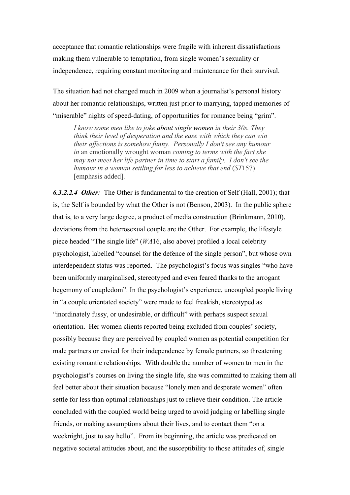acceptance that romantic relationships were fragile with inherent dissatisfactions making them vulnerable to temptation, from single women's sexuality or independence, requiring constant monitoring and maintenance for their survival.

The situation had not changed much in 2009 when a journalist's personal history about her romantic relationships, written just prior to marrying, tapped memories of "miserable" nights of speed-dating, of opportunities for romance being "grim".

*I know some men like to joke about single women in their 30s. They think their level of desperation and the ease with which they can win their affections is somehow funny. Personally I don't see any humour in* an emotionally wrought woman *coming to terms with the fact she may not meet her life partner in time to start a family. I don't see the humour in a woman settling for less to achieve that end* (*ST*157) [emphasis added].

*6.3.2.2.4 Other:* The Other is fundamental to the creation of Self (Hall, 2001); that is, the Self is bounded by what the Other is not (Benson, 2003). In the public sphere that is, to a very large degree, a product of media construction (Brinkmann, 2010), deviations from the heterosexual couple are the Other. For example, the lifestyle piece headed "The single life" (*WA*16, also above) profiled a local celebrity psychologist, labelled "counsel for the defence of the single person", but whose own interdependent status was reported. The psychologist's focus was singles "who have been uniformly marginalised, stereotyped and even feared thanks to the arrogant hegemony of coupledom". In the psychologist's experience, uncoupled people living in "a couple orientated society" were made to feel freakish, stereotyped as "inordinately fussy, or undesirable, or difficult" with perhaps suspect sexual orientation. Her women clients reported being excluded from couples' society, possibly because they are perceived by coupled women as potential competition for male partners or envied for their independence by female partners, so threatening existing romantic relationships. With double the number of women to men in the psychologist's courses on living the single life, she was committed to making them all feel better about their situation because "lonely men and desperate women" often settle for less than optimal relationships just to relieve their condition. The article concluded with the coupled world being urged to avoid judging or labelling single friends, or making assumptions about their lives, and to contact them "on a weeknight, just to say hello". From its beginning, the article was predicated on negative societal attitudes about, and the susceptibility to those attitudes of, single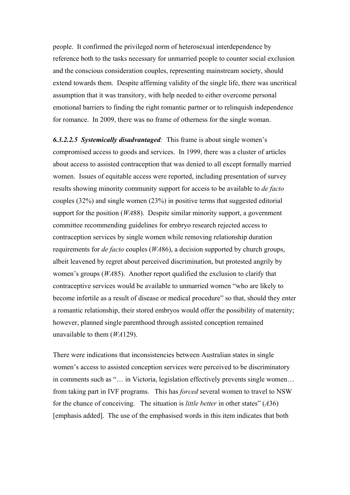people. It confirmed the privileged norm of heterosexual interdependence by reference both to the tasks necessary for unmarried people to counter social exclusion and the conscious consideration couples, representing mainstream society, should extend towards them. Despite affirming validity of the single life, there was uncritical assumption that it was transitory, with help needed to either overcome personal emotional barriers to finding the right romantic partner or to relinquish independence for romance. In 2009, there was no frame of otherness for the single woman.

*6.3.2.2.5 Systemically disadvantaged:* This frame is about single women's compromised access to goods and services. In 1999, there was a cluster of articles about access to assisted contraception that was denied to all except formally married women. Issues of equitable access were reported, including presentation of survey results showing minority community support for access to be available to *de facto*  couples (32%) and single women (23%) in positive terms that suggested editorial support for the position (*WA*88). Despite similar minority support, a government committee recommending guidelines for embryo research rejected access to contraception services by single women while removing relationship duration requirements for *de facto* couples (*WA*86), a decision supported by church groups, albeit leavened by regret about perceived discrimination, but protested angrily by women's groups (*WA*85). Another report qualified the exclusion to clarify that contraceptive services would be available to unmarried women "who are likely to become infertile as a result of disease or medical procedure" so that, should they enter a romantic relationship, their stored embryos would offer the possibility of maternity; however, planned single parenthood through assisted conception remained unavailable to them (*WA*129).

There were indications that inconsistencies between Australian states in single women's access to assisted conception services were perceived to be discriminatory in comments such as "… in Victoria, legislation effectively prevents single women… from taking part in IVF programs. This has *forced* several women to travel to NSW for the chance of conceiving. The situation is *little better* in other states" (*A*36) [emphasis added]. The use of the emphasised words in this item indicates that both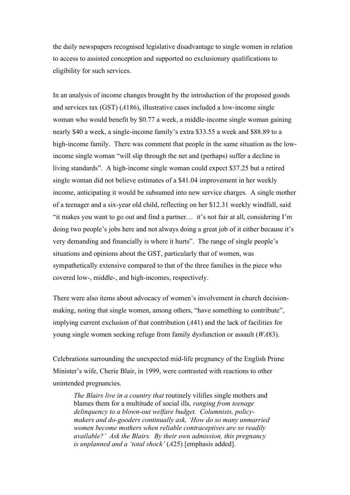the daily newspapers recognised legislative disadvantage to single women in relation to access to assisted conception and supported no exclusionary qualifications to eligibility for such services.

In an analysis of income changes brought by the introduction of the proposed goods and services tax (GST) (*A*186), illustrative cases included a low-income single woman who would benefit by \$0.77 a week, a middle-income single woman gaining nearly \$40 a week, a single-income family's extra \$33.55 a week and \$88.89 to a high-income family. There was comment that people in the same situation as the lowincome single woman "will slip through the net and (perhaps) suffer a decline in living standards". A high-income single woman could expect \$37.25 but a retired single woman did not believe estimates of a \$41.04 improvement in her weekly income, anticipating it would be subsumed into new service charges. A single mother of a teenager and a six-year old child, reflecting on her \$12.31 weekly windfall, said "it makes you want to go out and find a partner… it's not fair at all, considering I'm doing two people's jobs here and not always doing a great job of it either because it's very demanding and financially is where it hurts". The range of single people's situations and opinions about the GST, particularly that of women, was sympathetically extensive compared to that of the three families in the piece who covered low-, middle-, and high-incomes, respectively.

There were also items about advocacy of women's involvement in church decisionmaking, noting that single women, among others, "have something to contribute", implying current exclusion of that contribution (*A*41) and the lack of facilities for young single women seeking refuge from family dysfunction or assault (*WA*83).

Celebrations surrounding the unexpected mid-life pregnancy of the English Prime Minister's wife, Cherie Blair, in 1999, were contrasted with reactions to other unintended pregnancies.

*The Blairs live in a country that* routinely vilifies single mothers and blames them for a multitude of social ills*, ranging from teenage delinquency to a blown-out welfare budget. Columnists, policymakers and do-gooders continually ask, 'How do so many unmarried women become mothers when reliable contraceptives are so readily available?' Ask the Blairs. By their own admission, this pregnancy is unplanned and a 'total shock'* (*A*25) [emphasis added].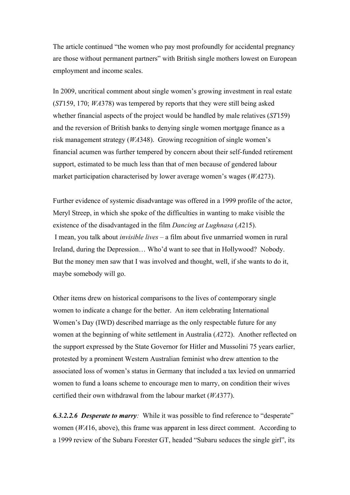The article continued "the women who pay most profoundly for accidental pregnancy are those without permanent partners" with British single mothers lowest on European employment and income scales.

In 2009, uncritical comment about single women's growing investment in real estate (*ST*159, 170; *WA*378) was tempered by reports that they were still being asked whether financial aspects of the project would be handled by male relatives (*ST*159) and the reversion of British banks to denying single women mortgage finance as a risk management strategy (*WA*348). Growing recognition of single women's financial acumen was further tempered by concern about their self-funded retirement support, estimated to be much less than that of men because of gendered labour market participation characterised by lower average women's wages (*WA*273).

Further evidence of systemic disadvantage was offered in a 1999 profile of the actor, Meryl Streep, in which she spoke of the difficulties in wanting to make visible the existence of the disadvantaged in the film *Dancing at Lughnasa* (*A*215). I mean, you talk about *invisible lives –* a film about five unmarried women in rural Ireland, during the Depression… Who'd want to see that in Hollywood? Nobody. But the money men saw that I was involved and thought, well, if she wants to do it, maybe somebody will go.

Other items drew on historical comparisons to the lives of contemporary single women to indicate a change for the better. An item celebrating International Women's Day (IWD) described marriage as the only respectable future for any women at the beginning of white settlement in Australia (*A*272). Another reflected on the support expressed by the State Governor for Hitler and Mussolini 75 years earlier, protested by a prominent Western Australian feminist who drew attention to the associated loss of women's status in Germany that included a tax levied on unmarried women to fund a loans scheme to encourage men to marry, on condition their wives certified their own withdrawal from the labour market (*WA*377).

*6.3.2.2.6 Desperate to marry:* While it was possible to find reference to "desperate" women (*WA*16, above), this frame was apparent in less direct comment. According to a 1999 review of the Subaru Forester GT, headed "Subaru seduces the single girl", its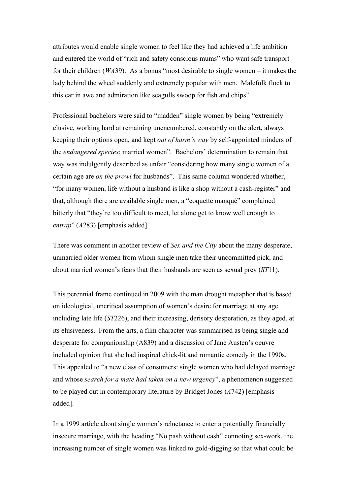attributes would enable single women to feel like they had achieved a life ambition and entered the world of "rich and safety conscious mums" who want safe transport for their children (*WA*39). As a bonus "most desirable to single women – it makes the lady behind the wheel suddenly and extremely popular with men. Malefolk flock to this car in awe and admiration like seagulls swoop for fish and chips".

Professional bachelors were said to "madden" single women by being "extremely elusive, working hard at remaining unencumbered, constantly on the alert, always keeping their options open, and kept *out of harm's way* by self-appointed minders of the *endangered species*; married women". Bachelors' determination to remain that way was indulgently described as unfair "considering how many single women of a certain age are *on the prowl* for husbands". This same column wondered whether, "for many women, life without a husband is like a shop without a cash-register" and that, although there are available single men, a "coquette manqué" complained bitterly that "they're too difficult to meet, let alone get to know well enough to *entrap*" (*A*283) [emphasis added].

There was comment in another review of *Sex and the City* about the many desperate, unmarried older women from whom single men take their uncommitted pick, and about married women's fears that their husbands are seen as sexual prey (*ST*11).

This perennial frame continued in 2009 with the man drought metaphor that is based on ideological, uncritical assumption of women's desire for marriage at any age including late life (*ST*226), and their increasing, derisory desperation, as they aged, at its elusiveness. From the arts, a film character was summarised as being single and desperate for companionship (A839) and a discussion of Jane Austen's oeuvre included opinion that she had inspired chick-lit and romantic comedy in the 1990s. This appealed to "a new class of consumers: single women who had delayed marriage and whose *search for a mate had taken on a new urgency*", a phenomenon suggested to be played out in contemporary literature by Bridget Jones (*A*742) [emphasis added].

In a 1999 article about single women's reluctance to enter a potentially financially insecure marriage, with the heading "No pash without cash" connoting sex-work, the increasing number of single women was linked to gold-digging so that what could be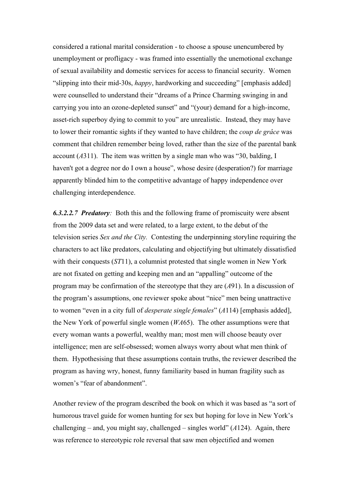considered a rational marital consideration - to choose a spouse unencumbered by unemployment or profligacy - was framed into essentially the unemotional exchange of sexual availability and domestic services for access to financial security. Women "slipping into their mid-30s, *happy*, hardworking and succeeding" [emphasis added] were counselled to understand their "dreams of a Prince Charming swinging in and carrying you into an ozone-depleted sunset" and "(your) demand for a high-income, asset-rich superboy dying to commit to you" are unrealistic. Instead, they may have to lower their romantic sights if they wanted to have children; the *coup de grâce* was comment that children remember being loved, rather than the size of the parental bank account (*A*311). The item was written by a single man who was "30, balding, I haven't got a degree nor do I own a house", whose desire (desperation?) for marriage apparently blinded him to the competitive advantage of happy independence over challenging interdependence.

*6.3.2.2.7 Predatory:* Both this and the following frame of promiscuity were absent from the 2009 data set and were related, to a large extent, to the debut of the television series *Sex and the City.* Contesting the underpinning storyline requiring the characters to act like predators, calculating and objectifying but ultimately dissatisfied with their conquests (*ST*11), a columnist protested that single women in New York are not fixated on getting and keeping men and an "appalling" outcome of the program may be confirmation of the stereotype that they are (*A*91). In a discussion of the program's assumptions, one reviewer spoke about "nice" men being unattractive to women "even in a city full of *desperate single females*" (*A*114) [emphasis added], the New York of powerful single women (*WA*65). The other assumptions were that every woman wants a powerful, wealthy man; most men will choose beauty over intelligence; men are self-obsessed; women always worry about what men think of them. Hypothesising that these assumptions contain truths, the reviewer described the program as having wry, honest, funny familiarity based in human fragility such as women's "fear of abandonment".

Another review of the program described the book on which it was based as "a sort of humorous travel guide for women hunting for sex but hoping for love in New York's challenging – and, you might say, challenged – singles world" (*A*124). Again, there was reference to stereotypic role reversal that saw men objectified and women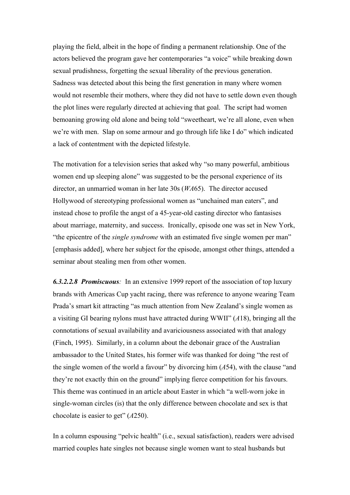playing the field, albeit in the hope of finding a permanent relationship. One of the actors believed the program gave her contemporaries "a voice" while breaking down sexual prudishness, forgetting the sexual liberality of the previous generation. Sadness was detected about this being the first generation in many where women would not resemble their mothers, where they did not have to settle down even though the plot lines were regularly directed at achieving that goal. The script had women bemoaning growing old alone and being told "sweetheart, we're all alone, even when we're with men. Slap on some armour and go through life like I do" which indicated a lack of contentment with the depicted lifestyle.

The motivation for a television series that asked why "so many powerful, ambitious women end up sleeping alone" was suggested to be the personal experience of its director, an unmarried woman in her late 30s (*WA*65). The director accused Hollywood of stereotyping professional women as "unchained man eaters", and instead chose to profile the angst of a 45-year-old casting director who fantasises about marriage, maternity, and success. Ironically, episode one was set in New York, "the epicentre of the *single syndrome* with an estimated five single women per man" [emphasis added], where her subject for the episode, amongst other things, attended a seminar about stealing men from other women.

*6.3.2.2.8 Promiscuous:* In an extensive 1999 report of the association of top luxury brands with Americas Cup yacht racing, there was reference to anyone wearing Team Prada's smart kit attracting "as much attention from New Zealand's single women as a visiting GI bearing nylons must have attracted during WWII" (*A*18), bringing all the connotations of sexual availability and avariciousness associated with that analogy (Finch, 1995). Similarly, in a column about the debonair grace of the Australian ambassador to the United States, his former wife was thanked for doing "the rest of the single women of the world a favour" by divorcing him (*A*54), with the clause "and they're not exactly thin on the ground" implying fierce competition for his favours. This theme was continued in an article about Easter in which "a well-worn joke in single-woman circles (is) that the only difference between chocolate and sex is that chocolate is easier to get" (*A*250).

In a column espousing "pelvic health" (i.e., sexual satisfaction), readers were advised married couples hate singles not because single women want to steal husbands but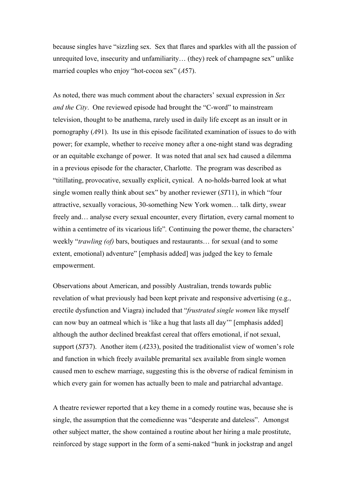because singles have "sizzling sex. Sex that flares and sparkles with all the passion of unrequited love, insecurity and unfamiliarity… (they) reek of champagne sex" unlike married couples who enjoy "hot-cocoa sex" (*A*57).

As noted, there was much comment about the characters' sexual expression in *Sex and the City*. One reviewed episode had brought the "C-word" to mainstream television, thought to be anathema, rarely used in daily life except as an insult or in pornography (*A*91). Its use in this episode facilitated examination of issues to do with power; for example, whether to receive money after a one-night stand was degrading or an equitable exchange of power. It was noted that anal sex had caused a dilemma in a previous episode for the character, Charlotte. The program was described as "titillating, provocative, sexually explicit, cynical. A no-holds-barred look at what single women really think about sex" by another reviewer (*ST*11), in which "four attractive, sexually voracious, 30-something New York women… talk dirty, swear freely and… analyse every sexual encounter, every flirtation, every carnal moment to within a centimetre of its vicarious life". Continuing the power theme, the characters' weekly "*trawling (of)* bars, boutiques and restaurants… for sexual (and to some extent, emotional) adventure" [emphasis added] was judged the key to female empowerment.

Observations about American, and possibly Australian, trends towards public revelation of what previously had been kept private and responsive advertising (e.g., erectile dysfunction and Viagra) included that "*frustrated single women* like myself can now buy an oatmeal which is 'like a hug that lasts all day'" [emphasis added] although the author declined breakfast cereal that offers emotional, if not sexual, support (*ST*37). Another item (*A*233), posited the traditionalist view of women's role and function in which freely available premarital sex available from single women caused men to eschew marriage, suggesting this is the obverse of radical feminism in which every gain for women has actually been to male and patriarchal advantage.

A theatre reviewer reported that a key theme in a comedy routine was, because she is single, the assumption that the comedienne was "desperate and dateless". Amongst other subject matter, the show contained a routine about her hiring a male prostitute, reinforced by stage support in the form of a semi-naked "hunk in jockstrap and angel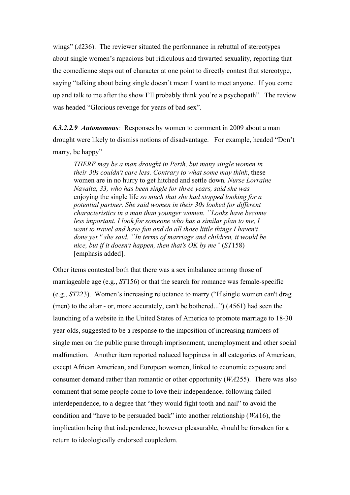wings" (*A*236). The reviewer situated the performance in rebuttal of stereotypes about single women's rapacious but ridiculous and thwarted sexuality, reporting that the comedienne steps out of character at one point to directly contest that stereotype, saying "talking about being single doesn't mean I want to meet anyone. If you come up and talk to me after the show I'll probably think you're a psychopath". The review was headed "Glorious revenge for years of bad sex".

*6.3.2.2.9 Autonomous:* Responses by women to comment in 2009 about a man drought were likely to dismiss notions of disadvantage. For example, headed "Don't marry, be happy"

*THERE may be a man drought in Perth, but many single women in their 30s couldn't care less. Contrary to what some may think*, these women are in no hurry to get hitched and settle down*. Nurse Lorraine Navalta, 33, who has been single for three years, said she was* enjoying the single life *so much that she had stopped looking for a potential partner. She said women in their 30s looked for different characteristics in a man than younger women. ``Looks have become less important. I look for someone who has a similar plan to me, I want to travel and have fun and do all those little things I haven't done yet,'' she said. ``In terms of marriage and children, it would be nice, but if it doesn't happen, then that's OK by me"* (*ST*158) [emphasis added].

Other items contested both that there was a sex imbalance among those of marriageable age (e.g., *ST*156) or that the search for romance was female-specific (e.g., *ST*223). Women's increasing reluctance to marry ("If single women can't drag (men) to the altar - or, more accurately, can't be bothered...") (*A*561) had seen the launching of a website in the United States of America to promote marriage to 18-30 year olds, suggested to be a response to the imposition of increasing numbers of single men on the public purse through imprisonment, unemployment and other social malfunction. Another item reported reduced happiness in all categories of American, except African American, and European women, linked to economic exposure and consumer demand rather than romantic or other opportunity (*WA*255). There was also comment that some people come to love their independence, following failed interdependence, to a degree that "they would fight tooth and nail" to avoid the condition and "have to be persuaded back" into another relationship (*WA*16), the implication being that independence, however pleasurable, should be forsaken for a return to ideologically endorsed coupledom.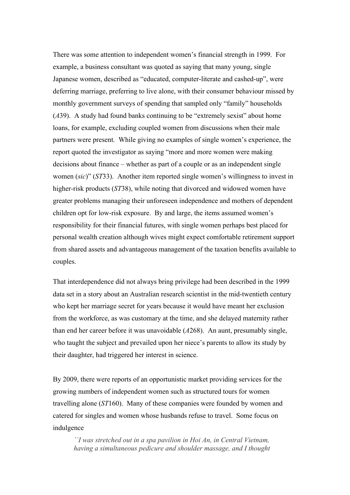There was some attention to independent women's financial strength in 1999. For example, a business consultant was quoted as saying that many young, single Japanese women, described as "educated, computer-literate and cashed-up", were deferring marriage, preferring to live alone, with their consumer behaviour missed by monthly government surveys of spending that sampled only "family" households (*A*39). A study had found banks continuing to be "extremely sexist" about home loans, for example, excluding coupled women from discussions when their male partners were present. While giving no examples of single women's experience, the report quoted the investigator as saying "more and more women were making decisions about finance – whether as part of a couple or as an independent single women (*sic*)" (*ST*33). Another item reported single women's willingness to invest in higher-risk products (*ST*38), while noting that divorced and widowed women have greater problems managing their unforeseen independence and mothers of dependent children opt for low-risk exposure. By and large, the items assumed women's responsibility for their financial futures, with single women perhaps best placed for personal wealth creation although wives might expect comfortable retirement support from shared assets and advantageous management of the taxation benefits available to couples.

That interdependence did not always bring privilege had been described in the 1999 data set in a story about an Australian research scientist in the mid-twentieth century who kept her marriage secret for years because it would have meant her exclusion from the workforce, as was customary at the time, and she delayed maternity rather than end her career before it was unavoidable (*A*268). An aunt, presumably single, who taught the subject and prevailed upon her niece's parents to allow its study by their daughter, had triggered her interest in science.

By 2009, there were reports of an opportunistic market providing services for the growing numbers of independent women such as structured tours for women travelling alone (*ST*160). Many of these companies were founded by women and catered for singles and women whose husbands refuse to travel. Some focus on indulgence

*``I was stretched out in a spa pavilion in Hoi An, in Central Vietnam, having a simultaneous pedicure and shoulder massage, and I thought*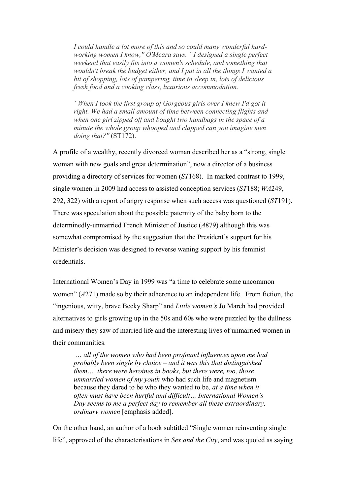*I could handle a lot more of this and so could many wonderful hardworking women I know,'' O'Meara says. ``I designed a single perfect weekend that easily fits into a women's schedule, and something that wouldn't break the budget either, and I put in all the things I wanted a bit of shopping, lots of pampering, time to sleep in, lots of delicious fresh food and a cooking class, luxurious accommodation.*

*"When I took the first group of Gorgeous girls over I knew I'd got it right. We had a small amount of time between connecting flights and when one girl zipped off and bought two handbags in the space of a minute the whole group whooped and clapped can you imagine men doing that?''* (ST172).

A profile of a wealthy, recently divorced woman described her as a "strong, single woman with new goals and great determination", now a director of a business providing a directory of services for women (*ST*168). In marked contrast to 1999, single women in 2009 had access to assisted conception services (*ST*188; *WA*249, 292, 322) with a report of angry response when such access was questioned (*ST*191). There was speculation about the possible paternity of the baby born to the determinedly-unmarried French Minister of Justice (*A*879) although this was somewhat compromised by the suggestion that the President's support for his Minister's decision was designed to reverse waning support by his feminist credentials.

International Women's Day in 1999 was "a time to celebrate some uncommon women" (*A*271) made so by their adherence to an independent life. From fiction, the "ingenious, witty, brave Becky Sharp" and *Little women's* Jo March had provided alternatives to girls growing up in the 50s and 60s who were puzzled by the dullness and misery they saw of married life and the interesting lives of unmarried women in their communities.

 *… all of the women who had been profound influences upon me had probably been single by choice – and it was this that distinguished them… there were heroines in books, but there were, too, those unmarried women of my youth* who had such life and magnetism because they dared to be who they wanted to be*, at a time when it often must have been hurtful and difficult… International Women's Day seems to me a perfect day to remember all these extraordinary, ordinary women* [emphasis added].

On the other hand, an author of a book subtitled "Single women reinventing single life", approved of the characterisations in *Sex and the City*, and was quoted as saying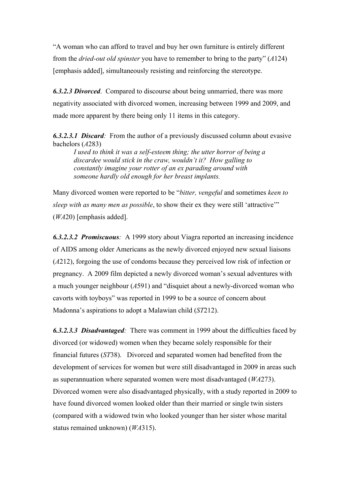"A woman who can afford to travel and buy her own furniture is entirely different from the *dried-out old spinster* you have to remember to bring to the party" (*A*124) [emphasis added], simultaneously resisting and reinforcing the stereotype.

*6.3.2.3 Divorced*. Compared to discourse about being unmarried, there was more negativity associated with divorced women, increasing between 1999 and 2009, and made more apparent by there being only 11 items in this category.

*6.3.2.3.1 Discard:* From the author of a previously discussed column about evasive bachelors (*A*283)

*I used to think it was a self-esteem thing; the utter horror of being a discardee would stick in the craw, wouldn't it? How galling to constantly imagine your rotter of an ex parading around with someone hardly old enough for her breast implants.* 

Many divorced women were reported to be "*bitter, vengeful* and sometimes *keen to sleep with as many men as possible*, to show their ex they were still 'attractive'" (*WA*20) [emphasis added].

*6.3.2.3.2 Promiscuous:* A 1999 story about Viagra reported an increasing incidence of AIDS among older Americans as the newly divorced enjoyed new sexual liaisons (*A*212), forgoing the use of condoms because they perceived low risk of infection or pregnancy. A 2009 film depicted a newly divorced woman's sexual adventures with a much younger neighbour (*A*591) and "disquiet about a newly-divorced woman who cavorts with toyboys" was reported in 1999 to be a source of concern about Madonna's aspirations to adopt a Malawian child (*ST*212).

*6.3.2.3.3 Disadvantaged:* There was comment in 1999 about the difficulties faced by divorced (or widowed) women when they became solely responsible for their financial futures (*ST*38). Divorced and separated women had benefited from the development of services for women but were still disadvantaged in 2009 in areas such as superannuation where separated women were most disadvantaged (*WA*273). Divorced women were also disadvantaged physically, with a study reported in 2009 to have found divorced women looked older than their married or single twin sisters (compared with a widowed twin who looked younger than her sister whose marital status remained unknown) (*WA*315).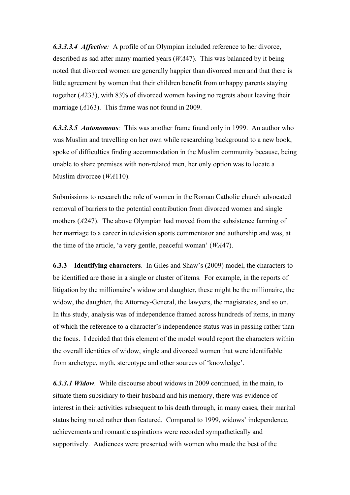*6.3.3.3.4 Affective:* A profile of an Olympian included reference to her divorce, described as sad after many married years (*WA*47). This was balanced by it being noted that divorced women are generally happier than divorced men and that there is little agreement by women that their children benefit from unhappy parents staying together (*A*233), with 83% of divorced women having no regrets about leaving their marriage (*A*163). This frame was not found in 2009.

*6.3.3.3.5 Autonomous:* This was another frame found only in 1999. An author who was Muslim and travelling on her own while researching background to a new book, spoke of difficulties finding accommodation in the Muslim community because, being unable to share premises with non-related men, her only option was to locate a Muslim divorcee (*WA*110).

Submissions to research the role of women in the Roman Catholic church advocated removal of barriers to the potential contribution from divorced women and single mothers (*A*247). The above Olympian had moved from the subsistence farming of her marriage to a career in television sports commentator and authorship and was, at the time of the article, 'a very gentle, peaceful woman' (*WA*47).

**6.3.3 Identifying characters**. In Giles and Shaw's (2009) model, the characters to be identified are those in a single or cluster of items. For example, in the reports of litigation by the millionaire's widow and daughter, these might be the millionaire, the widow, the daughter, the Attorney-General, the lawyers, the magistrates, and so on. In this study, analysis was of independence framed across hundreds of items, in many of which the reference to a character's independence status was in passing rather than the focus. I decided that this element of the model would report the characters within the overall identities of widow, single and divorced women that were identifiable from archetype, myth, stereotype and other sources of 'knowledge'.

*6.3.3.1 Widow*. While discourse about widows in 2009 continued, in the main, to situate them subsidiary to their husband and his memory, there was evidence of interest in their activities subsequent to his death through, in many cases, their marital status being noted rather than featured. Compared to 1999, widows' independence, achievements and romantic aspirations were recorded sympathetically and supportively. Audiences were presented with women who made the best of the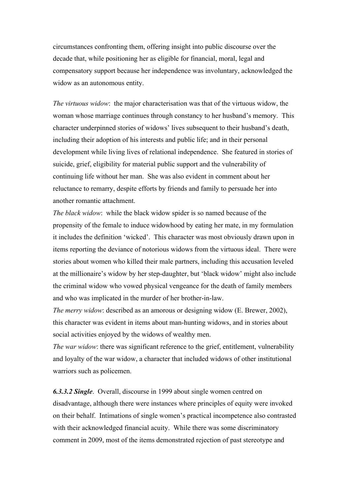circumstances confronting them, offering insight into public discourse over the decade that, while positioning her as eligible for financial, moral, legal and compensatory support because her independence was involuntary, acknowledged the widow as an autonomous entity.

*The virtuous widow*: the major characterisation was that of the virtuous widow, the woman whose marriage continues through constancy to her husband's memory. This character underpinned stories of widows' lives subsequent to their husband's death, including their adoption of his interests and public life; and in their personal development while living lives of relational independence. She featured in stories of suicide, grief, eligibility for material public support and the vulnerability of continuing life without her man. She was also evident in comment about her reluctance to remarry, despite efforts by friends and family to persuade her into another romantic attachment.

*The black widow*: while the black widow spider is so named because of the propensity of the female to induce widowhood by eating her mate, in my formulation it includes the definition 'wicked'. This character was most obviously drawn upon in items reporting the deviance of notorious widows from the virtuous ideal. There were stories about women who killed their male partners, including this accusation leveled at the millionaire's widow by her step-daughter, but 'black widow' might also include the criminal widow who vowed physical vengeance for the death of family members and who was implicated in the murder of her brother-in-law.

*The merry widow*: described as an amorous or designing widow (E. Brewer, 2002), this character was evident in items about man-hunting widows, and in stories about social activities enjoyed by the widows of wealthy men.

*The war widow*: there was significant reference to the grief, entitlement, vulnerability and loyalty of the war widow, a character that included widows of other institutional warriors such as policemen.

*6.3.3.2 Single*. Overall, discourse in 1999 about single women centred on disadvantage, although there were instances where principles of equity were invoked on their behalf. Intimations of single women's practical incompetence also contrasted with their acknowledged financial acuity. While there was some discriminatory comment in 2009, most of the items demonstrated rejection of past stereotype and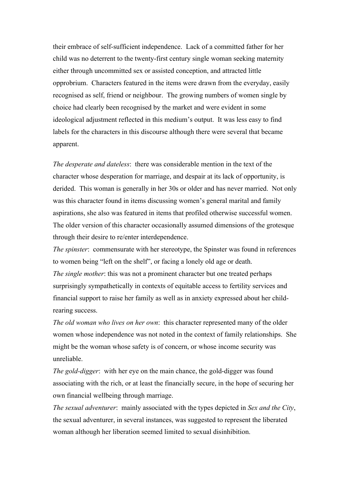their embrace of self-sufficient independence. Lack of a committed father for her child was no deterrent to the twenty-first century single woman seeking maternity either through uncommitted sex or assisted conception, and attracted little opprobrium. Characters featured in the items were drawn from the everyday, easily recognised as self, friend or neighbour. The growing numbers of women single by choice had clearly been recognised by the market and were evident in some ideological adjustment reflected in this medium's output. It was less easy to find labels for the characters in this discourse although there were several that became apparent.

*The desperate and dateless*: there was considerable mention in the text of the character whose desperation for marriage, and despair at its lack of opportunity, is derided. This woman is generally in her 30s or older and has never married. Not only was this character found in items discussing women's general marital and family aspirations, she also was featured in items that profiled otherwise successful women. The older version of this character occasionally assumed dimensions of the grotesque through their desire to re/enter interdependence.

*The spinster*: commensurate with her stereotype, the Spinster was found in references to women being "left on the shelf", or facing a lonely old age or death. *The single mother*: this was not a prominent character but one treated perhaps surprisingly sympathetically in contexts of equitable access to fertility services and financial support to raise her family as well as in anxiety expressed about her childrearing success.

*The old woman who lives on her own*: this character represented many of the older women whose independence was not noted in the context of family relationships. She might be the woman whose safety is of concern, or whose income security was unreliable.

*The gold-digger*: with her eye on the main chance, the gold-digger was found associating with the rich, or at least the financially secure, in the hope of securing her own financial wellbeing through marriage.

*The sexual adventurer*: mainly associated with the types depicted in *Sex and the City*, the sexual adventurer, in several instances, was suggested to represent the liberated woman although her liberation seemed limited to sexual disinhibition.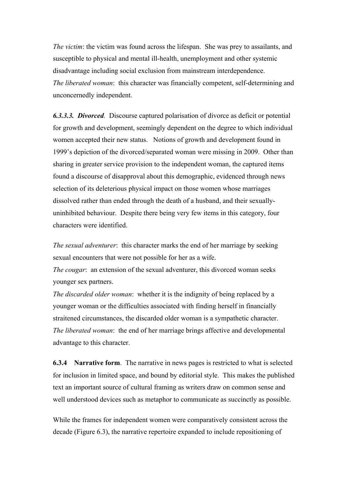*The victim*: the victim was found across the lifespan. She was prey to assailants, and susceptible to physical and mental ill-health, unemployment and other systemic disadvantage including social exclusion from mainstream interdependence. *The liberated woman*: this character was financially competent, self-determining and unconcernedly independent.

*6.3.3.3. Divorced.* Discourse captured polarisation of divorce as deficit or potential for growth and development, seemingly dependent on the degree to which individual women accepted their new status. Notions of growth and development found in 1999's depiction of the divorced/separated woman were missing in 2009. Other than sharing in greater service provision to the independent woman, the captured items found a discourse of disapproval about this demographic, evidenced through news selection of its deleterious physical impact on those women whose marriages dissolved rather than ended through the death of a husband, and their sexuallyuninhibited behaviour. Despite there being very few items in this category, four characters were identified.

*The sexual adventurer*: this character marks the end of her marriage by seeking sexual encounters that were not possible for her as a wife.

*The cougar*: an extension of the sexual adventurer, this divorced woman seeks younger sex partners.

*The discarded older woman*: whether it is the indignity of being replaced by a younger woman or the difficulties associated with finding herself in financially straitened circumstances, the discarded older woman is a sympathetic character. *The liberated woman*: the end of her marriage brings affective and developmental advantage to this character.

**6.3.4 Narrative form**. The narrative in news pages is restricted to what is selected for inclusion in limited space, and bound by editorial style. This makes the published text an important source of cultural framing as writers draw on common sense and well understood devices such as metaphor to communicate as succinctly as possible.

While the frames for independent women were comparatively consistent across the decade (Figure 6.3), the narrative repertoire expanded to include repositioning of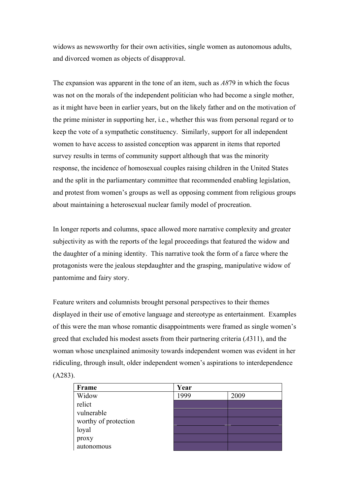widows as newsworthy for their own activities, single women as autonomous adults, and divorced women as objects of disapproval.

The expansion was apparent in the tone of an item, such as *A8*79 in which the focus was not on the morals of the independent politician who had become a single mother, as it might have been in earlier years, but on the likely father and on the motivation of the prime minister in supporting her, i.e., whether this was from personal regard or to keep the vote of a sympathetic constituency. Similarly, support for all independent women to have access to assisted conception was apparent in items that reported survey results in terms of community support although that was the minority response, the incidence of homosexual couples raising children in the United States and the split in the parliamentary committee that recommended enabling legislation, and protest from women's groups as well as opposing comment from religious groups about maintaining a heterosexual nuclear family model of procreation.

In longer reports and columns, space allowed more narrative complexity and greater subjectivity as with the reports of the legal proceedings that featured the widow and the daughter of a mining identity. This narrative took the form of a farce where the protagonists were the jealous stepdaughter and the grasping, manipulative widow of pantomime and fairy story.

Feature writers and columnists brought personal perspectives to their themes displayed in their use of emotive language and stereotype as entertainment. Examples of this were the man whose romantic disappointments were framed as single women's greed that excluded his modest assets from their partnering criteria (*A*311), and the woman whose unexplained animosity towards independent women was evident in her ridiculing, through insult, older independent women's aspirations to interdependence (A283).

| Frame                | Year |      |  |
|----------------------|------|------|--|
| Widow                | 1999 | 2009 |  |
| relict               |      |      |  |
| vulnerable           |      |      |  |
| worthy of protection |      |      |  |
| loyal                |      |      |  |
| proxy                |      |      |  |
| autonomous           |      |      |  |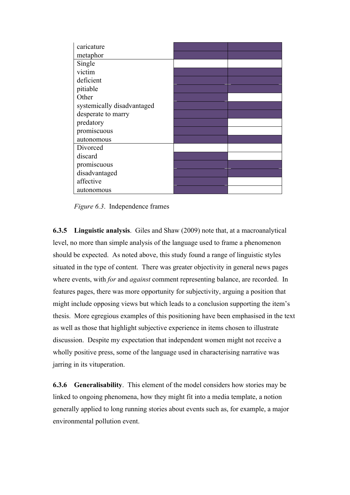| caricature                 |  |
|----------------------------|--|
| metaphor                   |  |
| Single                     |  |
| victim                     |  |
| deficient                  |  |
| pitiable                   |  |
| Other                      |  |
| systemically disadvantaged |  |
| desperate to marry         |  |
| predatory                  |  |
| promiscuous                |  |
| autonomous                 |  |
| Divorced                   |  |
| discard                    |  |
| promiscuous                |  |
| disadvantaged              |  |
| affective                  |  |
| autonomous                 |  |

*Figure 6.3*. Independence frames

**6.3.5 Linguistic analysis**. Giles and Shaw (2009) note that, at a macroanalytical level, no more than simple analysis of the language used to frame a phenomenon should be expected. As noted above, this study found a range of linguistic styles situated in the type of content. There was greater objectivity in general news pages where events, with *for* and *against* comment representing balance, are recorded. In features pages, there was more opportunity for subjectivity, arguing a position that might include opposing views but which leads to a conclusion supporting the item's thesis. More egregious examples of this positioning have been emphasised in the text as well as those that highlight subjective experience in items chosen to illustrate discussion. Despite my expectation that independent women might not receive a wholly positive press, some of the language used in characterising narrative was jarring in its vituperation.

**6.3.6 Generalisability**. This element of the model considers how stories may be linked to ongoing phenomena, how they might fit into a media template, a notion generally applied to long running stories about events such as, for example, a major environmental pollution event.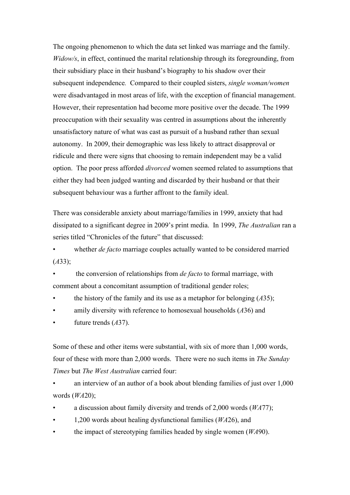The ongoing phenomenon to which the data set linked was marriage and the family. *Widow/s*, in effect, continued the marital relationship through its foregrounding, from their subsidiary place in their husband's biography to his shadow over their subsequent independence*.* Compared to their coupled sisters, *single woman/women* were disadvantaged in most areas of life, with the exception of financial management. However, their representation had become more positive over the decade. The 1999 preoccupation with their sexuality was centred in assumptions about the inherently unsatisfactory nature of what was cast as pursuit of a husband rather than sexual autonomy. In 2009, their demographic was less likely to attract disapproval or ridicule and there were signs that choosing to remain independent may be a valid option. The poor press afforded *divorced* women seemed related to assumptions that either they had been judged wanting and discarded by their husband or that their subsequent behaviour was a further affront to the family ideal.

There was considerable anxiety about marriage/families in 1999, anxiety that had dissipated to a significant degree in 2009's print media. In 1999, *The Australian* ran a series titled "Chronicles of the future" that discussed:

whether *de facto* marriage couples actually wanted to be considered married (*A*33);

• the conversion of relationships from *de facto* to formal marriage, with comment about a concomitant assumption of traditional gender roles;

- the history of the family and its use as a metaphor for belonging  $(A35)$ ;
- amily diversity with reference to homosexual households (*A*36) and
- future trends (A37).

Some of these and other items were substantial, with six of more than 1,000 words, four of these with more than 2,000 words. There were no such items in *The Sunday Times* but *The West Australian* carried four:

an interview of an author of a book about blending families of just over 1,000 words (*WA*20);

- a discussion about family diversity and trends of 2,000 words (*WA*77);
- 1,200 words about healing dysfunctional families (*WA*26), and
- the impact of stereotyping families headed by single women (*WA*90).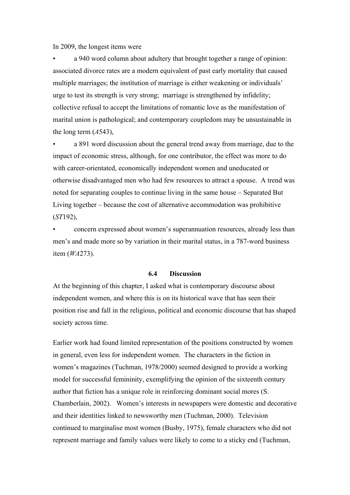In 2009, the longest items were

• a 940 word column about adultery that brought together a range of opinion: associated divorce rates are a modern equivalent of past early mortality that caused multiple marriages; the institution of marriage is either weakening or individuals' urge to test its strength is very strong; marriage is strengthened by infidelity; collective refusal to accept the limitations of romantic love as the manifestation of marital union is pathological; and contemporary coupledom may be unsustainable in the long term (*A*543),

• a 891 word discussion about the general trend away from marriage, due to the impact of economic stress, although, for one contributor, the effect was more to do with career-orientated, economically independent women and uneducated or otherwise disadvantaged men who had few resources to attract a spouse. A trend was noted for separating couples to continue living in the same house – Separated But Living together – because the cost of alternative accommodation was prohibitive (*ST*192),

• concern expressed about women's superannuation resources, already less than men's and made more so by variation in their marital status, in a 787-word business item (*WA*273).

## **6.4 Discussion**

At the beginning of this chapter, I asked what is contemporary discourse about independent women, and where this is on its historical wave that has seen their position rise and fall in the religious, political and economic discourse that has shaped society across time.

Earlier work had found limited representation of the positions constructed by women in general, even less for independent women. The characters in the fiction in women's magazines (Tuchman, 1978/2000) seemed designed to provide a working model for successful femininity, exemplifying the opinion of the sixteenth century author that fiction has a unique role in reinforcing dominant social mores (S. Chamberlain, 2002). Women's interests in newspapers were domestic and decorative and their identities linked to newsworthy men (Tuchman, 2000). Television continued to marginalise most women (Busby, 1975), female characters who did not represent marriage and family values were likely to come to a sticky end (Tuchman,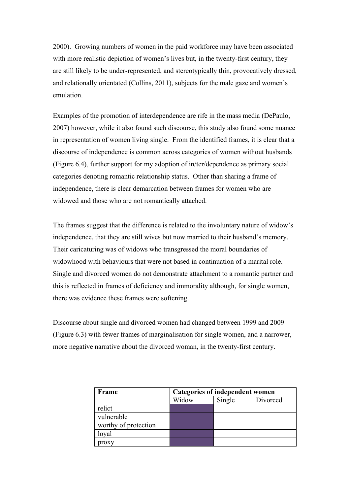2000). Growing numbers of women in the paid workforce may have been associated with more realistic depiction of women's lives but, in the twenty-first century, they are still likely to be under-represented, and stereotypically thin, provocatively dressed, and relationally orientated (Collins, 2011), subjects for the male gaze and women's emulation.

Examples of the promotion of interdependence are rife in the mass media (DePaulo, 2007) however, while it also found such discourse, this study also found some nuance in representation of women living single. From the identified frames, it is clear that a discourse of independence is common across categories of women without husbands (Figure 6.4), further support for my adoption of in/ter/dependence as primary social categories denoting romantic relationship status. Other than sharing a frame of independence, there is clear demarcation between frames for women who are widowed and those who are not romantically attached.

The frames suggest that the difference is related to the involuntary nature of widow's independence, that they are still wives but now married to their husband's memory. Their caricaturing was of widows who transgressed the moral boundaries of widowhood with behaviours that were not based in continuation of a marital role. Single and divorced women do not demonstrate attachment to a romantic partner and this is reflected in frames of deficiency and immorality although, for single women, there was evidence these frames were softening.

Discourse about single and divorced women had changed between 1999 and 2009 (Figure 6.3) with fewer frames of marginalisation for single women, and a narrower, more negative narrative about the divorced woman, in the twenty-first century.

| Frame                | Categories of independent women |        |          |  |
|----------------------|---------------------------------|--------|----------|--|
|                      | Widow                           | Single | Divorced |  |
| relict               |                                 |        |          |  |
| vulnerable           |                                 |        |          |  |
| worthy of protection |                                 |        |          |  |
| loyal                |                                 |        |          |  |
| oroxy                |                                 |        |          |  |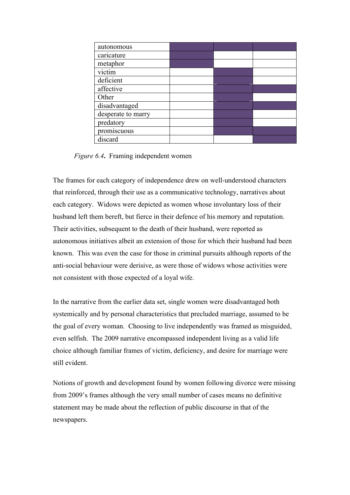| autonomous         |  |  |
|--------------------|--|--|
| caricature         |  |  |
| metaphor           |  |  |
| victim             |  |  |
| deficient          |  |  |
| affective          |  |  |
| Other              |  |  |
| disadvantaged      |  |  |
| desperate to marry |  |  |
| predatory          |  |  |
| promiscuous        |  |  |
| discard            |  |  |

*Figure 6.4***.** Framing independent women

The frames for each category of independence drew on well-understood characters that reinforced, through their use as a communicative technology, narratives about each category. Widows were depicted as women whose involuntary loss of their husband left them bereft, but fierce in their defence of his memory and reputation. Their activities, subsequent to the death of their husband, were reported as autonomous initiatives albeit an extension of those for which their husband had been known. This was even the case for those in criminal pursuits although reports of the anti-social behaviour were derisive, as were those of widows whose activities were not consistent with those expected of a loyal wife.

In the narrative from the earlier data set, single women were disadvantaged both systemically and by personal characteristics that precluded marriage, assumed to be the goal of every woman. Choosing to live independently was framed as misguided, even selfish. The 2009 narrative encompassed independent living as a valid life choice although familiar frames of victim, deficiency, and desire for marriage were still evident.

Notions of growth and development found by women following divorce were missing from 2009's frames although the very small number of cases means no definitive statement may be made about the reflection of public discourse in that of the newspapers.